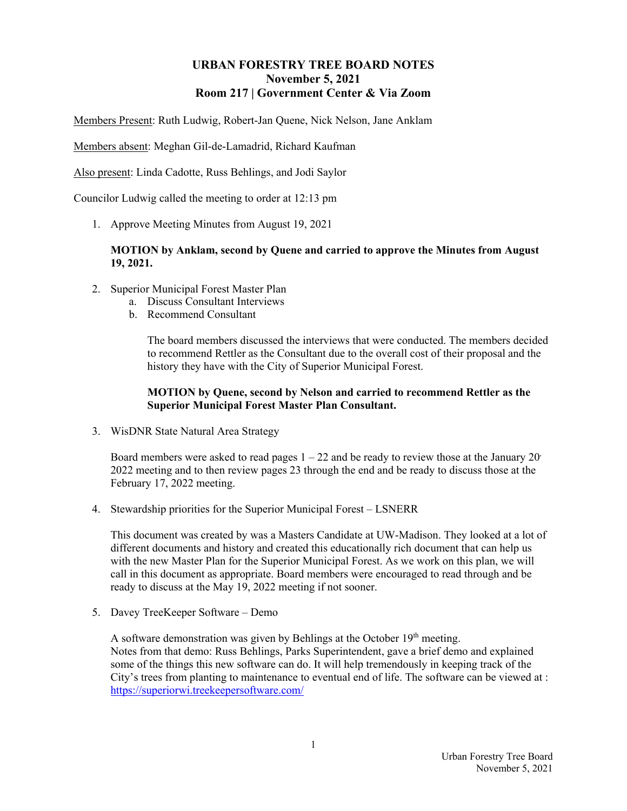#### **URBAN FORESTRY TREE BOARD NOTES November 5, 2021 Room 217 | Government Center & Via Zoom**

Members Present: Ruth Ludwig, Robert-Jan Quene, Nick Nelson, Jane Anklam

Members absent: Meghan Gil-de-Lamadrid, Richard Kaufman

Also present: Linda Cadotte, Russ Behlings, and Jodi Saylor

Councilor Ludwig called the meeting to order at 12:13 pm

1. Approve Meeting Minutes from August 19, 2021

#### **MOTION by Anklam, second by Quene and carried to approve the Minutes from August 19, 2021.**

- 2. Superior Municipal Forest Master Plan
	- a. Discuss Consultant Interviews
	- b. Recommend Consultant

The board members discussed the interviews that were conducted. The members decided to recommend Rettler as the Consultant due to the overall cost of their proposal and the history they have with the City of Superior Municipal Forest.

#### **MOTION by Quene, second by Nelson and carried to recommend Rettler as the Superior Municipal Forest Master Plan Consultant.**

3. WisDNR State Natural Area Strategy

Board members were asked to read pages  $1 - 22$  and be ready to review those at the January 20 2022 meeting and to then review pages 23 through the end and be ready to discuss those at the February 17, 2022 meeting.

4. Stewardship priorities for the Superior Municipal Forest – LSNERR

This document was created by was a Masters Candidate at UW-Madison. They looked at a lot of different documents and history and created this educationally rich document that can help us with the new Master Plan for the Superior Municipal Forest. As we work on this plan, we will call in this document as appropriate. Board members were encouraged to read through and be ready to discuss at the May 19, 2022 meeting if not sooner.

5. Davey TreeKeeper Software – Demo

A software demonstration was given by Behlings at the October  $19<sup>th</sup>$  meeting. Notes from that demo: Russ Behlings, Parks Superintendent, gave a brief demo and explained some of the things this new software can do. It will help tremendously in keeping track of the City's trees from planting to maintenance to eventual end of life. The software can be viewed at : https://superiorwi.treekeepersoftware.com/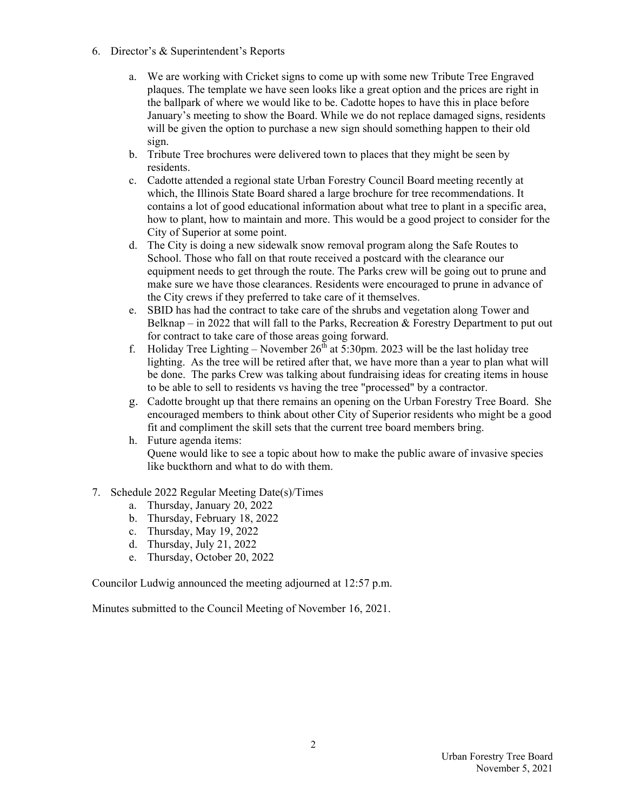- 6. Director's & Superintendent's Reports
	- a. We are working with Cricket signs to come up with some new Tribute Tree Engraved plaques. The template we have seen looks like a great option and the prices are right in the ballpark of where we would like to be. Cadotte hopes to have this in place before January's meeting to show the Board. While we do not replace damaged signs, residents will be given the option to purchase a new sign should something happen to their old sign.
	- b. Tribute Tree brochures were delivered town to places that they might be seen by residents.
	- c. Cadotte attended a regional state Urban Forestry Council Board meeting recently at which, the Illinois State Board shared a large brochure for tree recommendations. It contains a lot of good educational information about what tree to plant in a specific area, how to plant, how to maintain and more. This would be a good project to consider for the City of Superior at some point.
	- d. The City is doing a new sidewalk snow removal program along the Safe Routes to School. Those who fall on that route received a postcard with the clearance our equipment needs to get through the route. The Parks crew will be going out to prune and make sure we have those clearances. Residents were encouraged to prune in advance of the City crews if they preferred to take care of it themselves.
	- e. SBID has had the contract to take care of the shrubs and vegetation along Tower and Belknap – in 2022 that will fall to the Parks, Recreation & Forestry Department to put out for contract to take care of those areas going forward.
	- f. Holiday Tree Lighting November  $26<sup>th</sup>$  at 5:30pm. 2023 will be the last holiday tree lighting. As the tree will be retired after that, we have more than a year to plan what will be done. The parks Crew was talking about fundraising ideas for creating items in house to be able to sell to residents vs having the tree "processed" by a contractor.
	- g. Cadotte brought up that there remains an opening on the Urban Forestry Tree Board. She encouraged members to think about other City of Superior residents who might be a good fit and compliment the skill sets that the current tree board members bring.
	- h. Future agenda items: Quene would like to see a topic about how to make the public aware of invasive species like buckthorn and what to do with them.
- 7. Schedule 2022 Regular Meeting Date(s)/Times
	- a. Thursday, January 20, 2022
	- b. Thursday, February 18, 2022
	- c. Thursday, May 19, 2022
	- d. Thursday, July 21, 2022
	- e. Thursday, October 20, 2022

Councilor Ludwig announced the meeting adjourned at 12:57 p.m.

Minutes submitted to the Council Meeting of November 16, 2021.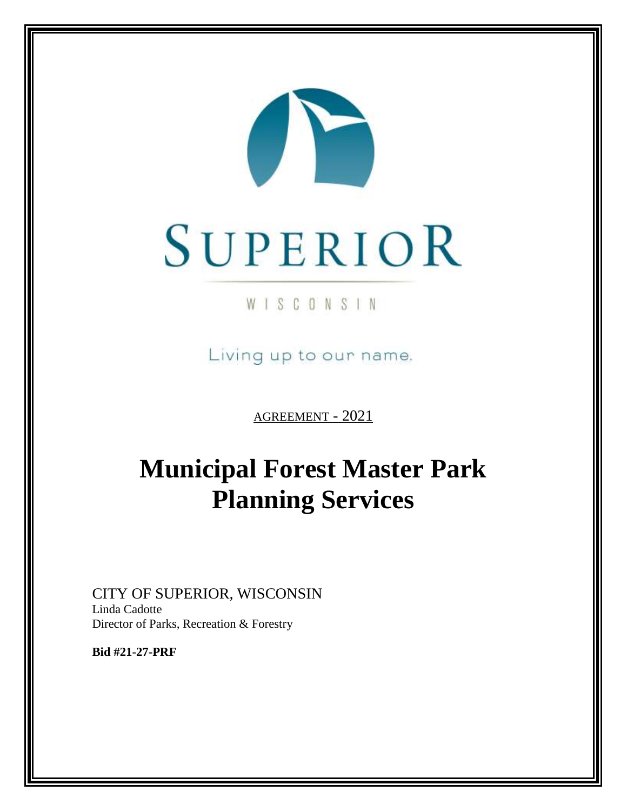

## WISCONSIN

Living up to our name.

AGREEMENT - 2021

# **Municipal Forest Master Park Planning Services**

CITY OF SUPERIOR, WISCONSIN Linda Cadotte Director of Parks, Recreation & Forestry

**Bid #21-27-PRF**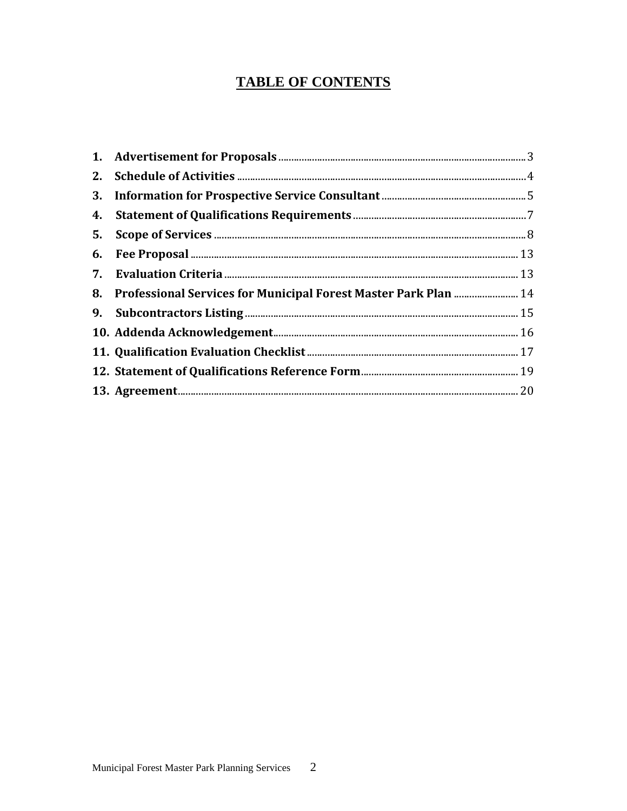## **TABLE OF CONTENTS**

| 8. Professional Services for Municipal Forest Master Park Plan  14 |  |
|--------------------------------------------------------------------|--|
|                                                                    |  |
|                                                                    |  |
|                                                                    |  |
|                                                                    |  |
|                                                                    |  |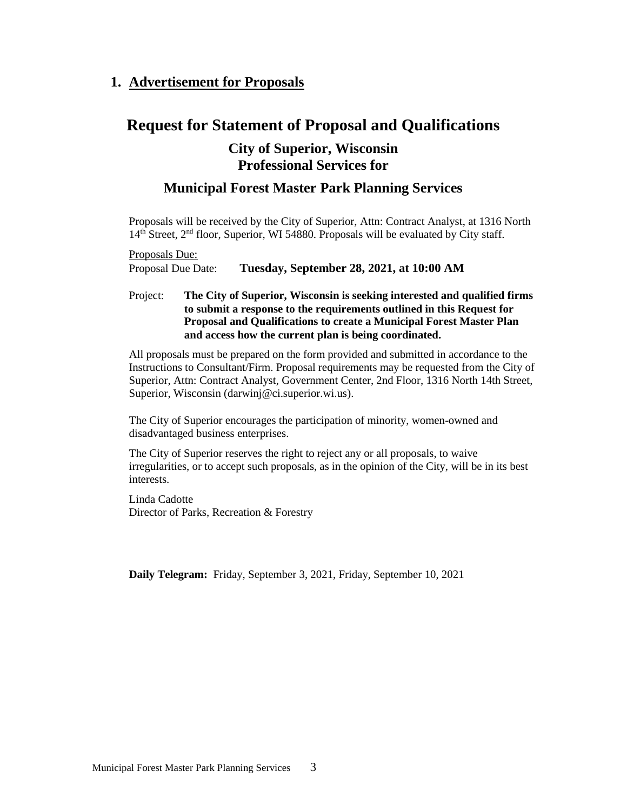## <span id="page-4-0"></span>**1. Advertisement for Proposals**

## **Request for Statement of Proposal and Qualifications**

## **City of Superior, Wisconsin Professional Services for**

## **Municipal Forest Master Park Planning Services**

Proposals will be received by the City of Superior, Attn: Contract Analyst, at 1316 North 14<sup>th</sup> Street, 2<sup>nd</sup> floor, Superior, WI 54880. Proposals will be evaluated by City staff.

Proposals Due: Proposal Due Date: **Tuesday, September 28, 2021, at 10:00 AM**

#### Project: **The City of Superior, Wisconsin is seeking interested and qualified firms to submit a response to the requirements outlined in this Request for Proposal and Qualifications to create a Municipal Forest Master Plan and access how the current plan is being coordinated.**

All proposals must be prepared on the form provided and submitted in accordance to the Instructions to Consultant/Firm. Proposal requirements may be requested from the City of Superior, Attn: Contract Analyst, Government Center, 2nd Floor, 1316 North 14th Street, Superior, Wisconsin (darwinj@ci.superior.wi.us).

The City of Superior encourages the participation of minority, women-owned and disadvantaged business enterprises.

The City of Superior reserves the right to reject any or all proposals, to waive irregularities, or to accept such proposals, as in the opinion of the City, will be in its best interests.

Linda Cadotte Director of Parks, Recreation & Forestry

**Daily Telegram:** Friday, September 3, 2021, Friday, September 10, 2021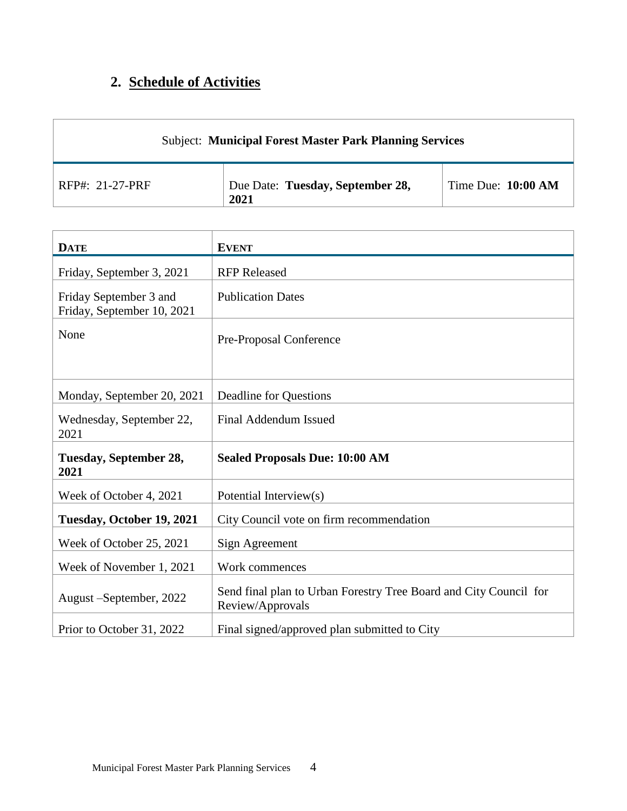## <span id="page-5-0"></span>**2. Schedule of Activities**

| <b>Subject: Municipal Forest Master Park Planning Services</b> |                                          |                      |  |  |  |
|----------------------------------------------------------------|------------------------------------------|----------------------|--|--|--|
| $RFP#: 21-27-PRF$                                              | Due Date: Tuesday, September 28,<br>2021 | Time Due: $10:00 AM$ |  |  |  |

| <b>DATE</b>                                          | <b>EVENT</b>                                                                          |
|------------------------------------------------------|---------------------------------------------------------------------------------------|
| Friday, September 3, 2021                            | <b>RFP Released</b>                                                                   |
| Friday September 3 and<br>Friday, September 10, 2021 | <b>Publication Dates</b>                                                              |
| None                                                 | Pre-Proposal Conference                                                               |
| Monday, September 20, 2021                           | Deadline for Questions                                                                |
| Wednesday, September 22,<br>2021                     | Final Addendum Issued                                                                 |
| Tuesday, September 28,<br>2021                       | <b>Sealed Proposals Due: 10:00 AM</b>                                                 |
| Week of October 4, 2021                              | Potential Interview(s)                                                                |
| Tuesday, October 19, 2021                            | City Council vote on firm recommendation                                              |
| Week of October 25, 2021                             | Sign Agreement                                                                        |
| Week of November 1, 2021                             | Work commences                                                                        |
| August – September, 2022                             | Send final plan to Urban Forestry Tree Board and City Council for<br>Review/Approvals |
| Prior to October 31, 2022                            | Final signed/approved plan submitted to City                                          |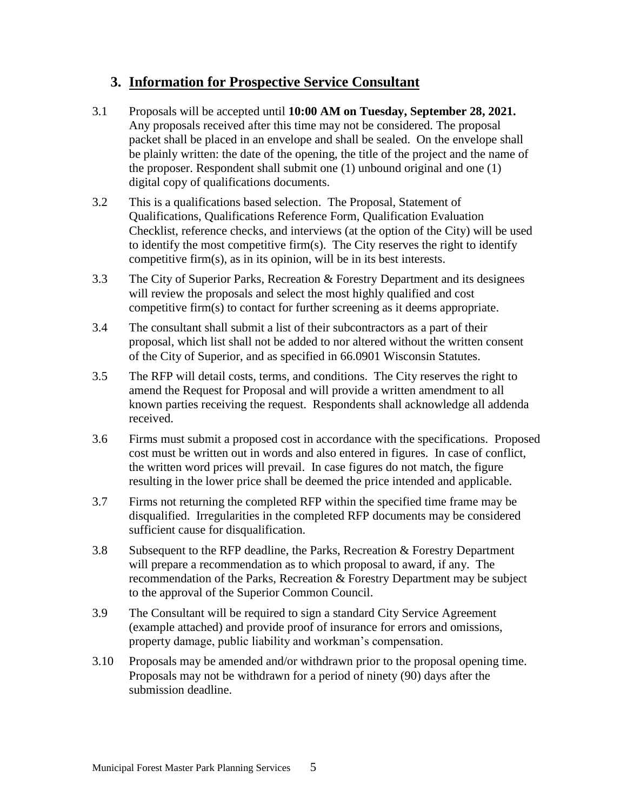## <span id="page-6-0"></span>**3. Information for Prospective Service Consultant**

- 3.1 Proposals will be accepted until **10:00 AM on Tuesday, September 28, 2021.**  Any proposals received after this time may not be considered. The proposal packet shall be placed in an envelope and shall be sealed.On the envelope shall be plainly written: the date of the opening, the title of the project and the name of the proposer. Respondent shall submit one (1) unbound original and one (1) digital copy of qualifications documents.
- 3.2 This is a qualifications based selection. The Proposal, Statement of Qualifications, Qualifications Reference Form, Qualification Evaluation Checklist, reference checks, and interviews (at the option of the City) will be used to identify the most competitive firm(s). The City reserves the right to identify competitive firm(s), as in its opinion, will be in its best interests.
- 3.3 The City of Superior Parks, Recreation & Forestry Department and its designees will review the proposals and select the most highly qualified and cost competitive firm(s) to contact for further screening as it deems appropriate.
- 3.4 The consultant shall submit a list of their subcontractors as a part of their proposal, which list shall not be added to nor altered without the written consent of the City of Superior, and as specified in 66.0901 Wisconsin Statutes.
- 3.5 The RFP will detail costs, terms, and conditions. The City reserves the right to amend the Request for Proposal and will provide a written amendment to all known parties receiving the request. Respondents shall acknowledge all addenda received.
- 3.6 Firms must submit a proposed cost in accordance with the specifications. Proposed cost must be written out in words and also entered in figures. In case of conflict, the written word prices will prevail. In case figures do not match, the figure resulting in the lower price shall be deemed the price intended and applicable.
- 3.7 Firms not returning the completed RFP within the specified time frame may be disqualified. Irregularities in the completed RFP documents may be considered sufficient cause for disqualification.
- 3.8 Subsequent to the RFP deadline, the Parks, Recreation & Forestry Department will prepare a recommendation as to which proposal to award, if any. The recommendation of the Parks, Recreation & Forestry Department may be subject to the approval of the Superior Common Council.
- 3.9 The Consultant will be required to sign a standard City Service Agreement (example attached) and provide proof of insurance for errors and omissions, property damage, public liability and workman's compensation.
- 3.10 Proposals may be amended and/or withdrawn prior to the proposal opening time. Proposals may not be withdrawn for a period of ninety (90) days after the submission deadline.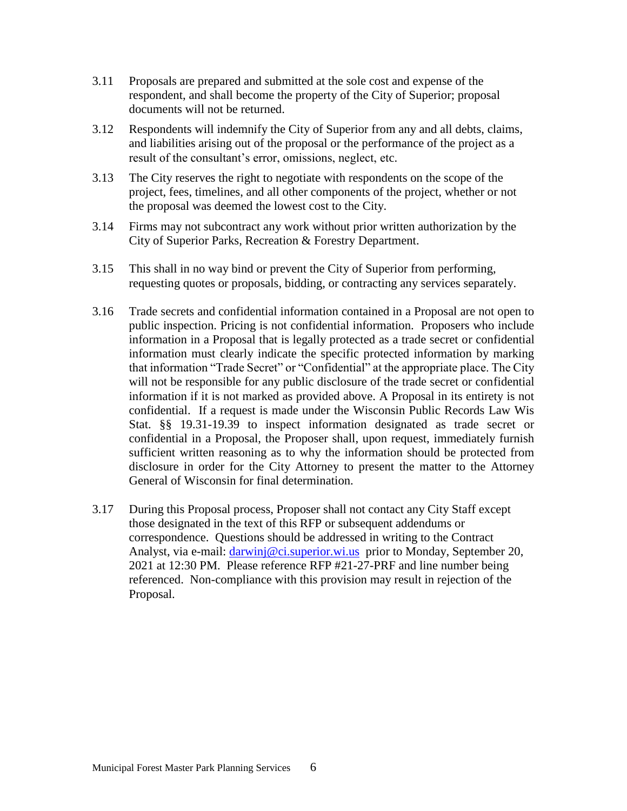- 3.11 Proposals are prepared and submitted at the sole cost and expense of the respondent, and shall become the property of the City of Superior; proposal documents will not be returned.
- 3.12 Respondents will indemnify the City of Superior from any and all debts, claims, and liabilities arising out of the proposal or the performance of the project as a result of the consultant's error, omissions, neglect, etc.
- 3.13 The City reserves the right to negotiate with respondents on the scope of the project, fees, timelines, and all other components of the project, whether or not the proposal was deemed the lowest cost to the City.
- 3.14 Firms may not subcontract any work without prior written authorization by the City of Superior Parks, Recreation & Forestry Department.
- 3.15 This shall in no way bind or prevent the City of Superior from performing, requesting quotes or proposals, bidding, or contracting any services separately.
- 3.16 Trade secrets and confidential information contained in a Proposal are not open to public inspection. Pricing is not confidential information. Proposers who include information in a Proposal that is legally protected as a trade secret or confidential information must clearly indicate the specific protected information by marking that information "Trade Secret" or "Confidential" at the appropriate place. The City will not be responsible for any public disclosure of the trade secret or confidential information if it is not marked as provided above. A Proposal in its entirety is not confidential. If a request is made under the Wisconsin Public Records Law Wis Stat. §§ 19.31-19.39 to inspect information designated as trade secret or confidential in a Proposal, the Proposer shall, upon request, immediately furnish sufficient written reasoning as to why the information should be protected from disclosure in order for the City Attorney to present the matter to the Attorney General of Wisconsin for final determination.
- 3.17 During this Proposal process, Proposer shall not contact any City Staff except those designated in the text of this RFP or subsequent addendums or correspondence. Questions should be addressed in writing to the Contract Analyst, via e-mail: *darwinj@ci.superior.wi.us* prior to Monday, September 20, 2021 at 12:30 PM. Please reference RFP #21-27-PRF and line number being referenced. Non-compliance with this provision may result in rejection of the Proposal.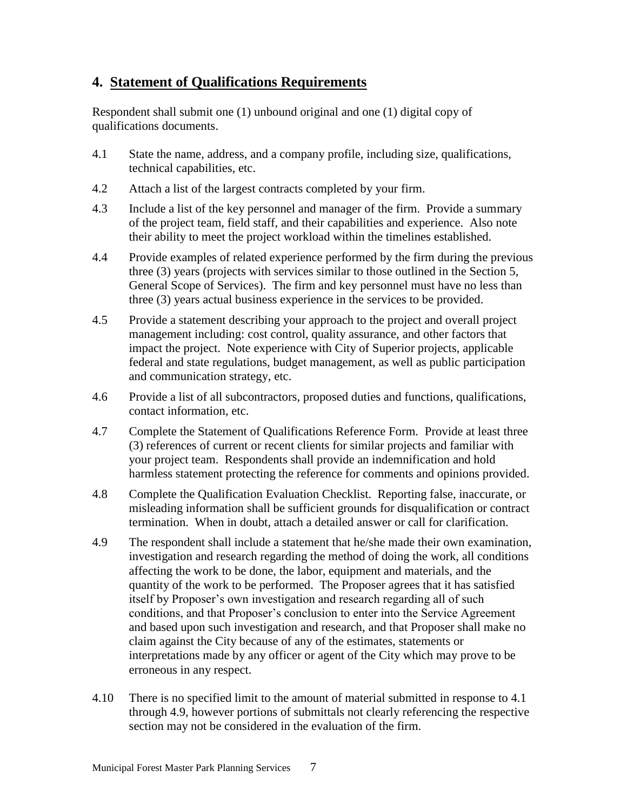## <span id="page-8-0"></span>**4. Statement of Qualifications Requirements**

Respondent shall submit one (1) unbound original and one (1) digital copy of qualifications documents.

- 4.1 State the name, address, and a company profile, including size, qualifications, technical capabilities, etc.
- 4.2 Attach a list of the largest contracts completed by your firm.
- 4.3 Include a list of the key personnel and manager of the firm. Provide a summary of the project team, field staff, and their capabilities and experience. Also note their ability to meet the project workload within the timelines established.
- 4.4 Provide examples of related experience performed by the firm during the previous three (3) years (projects with services similar to those outlined in the Section 5, General Scope of Services). The firm and key personnel must have no less than three (3) years actual business experience in the services to be provided.
- 4.5 Provide a statement describing your approach to the project and overall project management including: cost control, quality assurance, and other factors that impact the project. Note experience with City of Superior projects, applicable federal and state regulations, budget management, as well as public participation and communication strategy, etc.
- 4.6 Provide a list of all subcontractors, proposed duties and functions, qualifications, contact information, etc.
- 4.7 Complete the Statement of Qualifications Reference Form. Provide at least three (3) references of current or recent clients for similar projects and familiar with your project team. Respondents shall provide an indemnification and hold harmless statement protecting the reference for comments and opinions provided.
- 4.8 Complete the Qualification Evaluation Checklist. Reporting false, inaccurate, or misleading information shall be sufficient grounds for disqualification or contract termination. When in doubt, attach a detailed answer or call for clarification.
- 4.9 The respondent shall include a statement that he/she made their own examination, investigation and research regarding the method of doing the work, all conditions affecting the work to be done, the labor, equipment and materials, and the quantity of the work to be performed. The Proposer agrees that it has satisfied itself by Proposer's own investigation and research regarding all of such conditions, and that Proposer's conclusion to enter into the Service Agreement and based upon such investigation and research, and that Proposer shall make no claim against the City because of any of the estimates, statements or interpretations made by any officer or agent of the City which may prove to be erroneous in any respect.
- 4.10 There is no specified limit to the amount of material submitted in response to 4.1 through 4.9, however portions of submittals not clearly referencing the respective section may not be considered in the evaluation of the firm.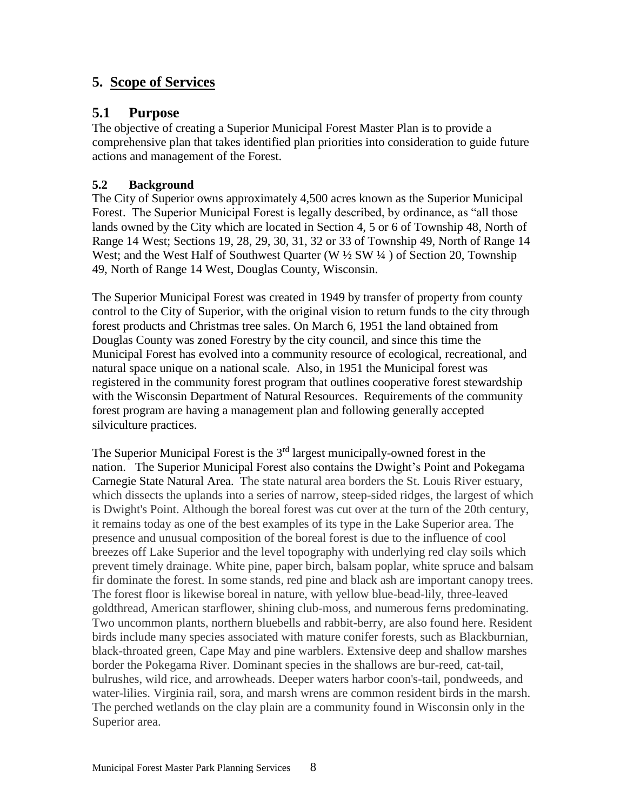## <span id="page-9-0"></span>**5. Scope of Services**

## **5.1 Purpose**

The objective of creating a Superior Municipal Forest Master Plan is to provide a comprehensive plan that takes identified plan priorities into consideration to guide future actions and management of the Forest.

#### **5.2 Background**

The City of Superior owns approximately 4,500 acres known as the Superior Municipal Forest. The Superior Municipal Forest is legally described, by ordinance, as "all those lands owned by the City which are located in Section 4, 5 or 6 of Township 48, North of Range 14 West; Sections 19, 28, 29, 30, 31, 32 or 33 of Township 49, North of Range 14 West; and the West Half of Southwest Quarter (W  $\frac{1}{2}$  SW  $\frac{1}{4}$ ) of Section 20, Township 49, North of Range 14 West, Douglas County, Wisconsin.

The Superior Municipal Forest was created in 1949 by transfer of property from county control to the City of Superior, with the original vision to return funds to the city through forest products and Christmas tree sales. On March 6, 1951 the land obtained from Douglas County was zoned Forestry by the city council, and since this time the Municipal Forest has evolved into a community resource of ecological, recreational, and natural space unique on a national scale. Also, in 1951 the Municipal forest was registered in the community forest program that outlines cooperative forest stewardship with the Wisconsin Department of Natural Resources. Requirements of the community forest program are having a management plan and following generally accepted silviculture practices.

The Superior Municipal Forest is the  $3<sup>rd</sup>$  largest municipally-owned forest in the nation. The Superior Municipal Forest also contains the Dwight's Point and Pokegama Carnegie State Natural Area. The state natural area borders the St. Louis River estuary, which dissects the uplands into a series of narrow, steep-sided ridges, the largest of which is Dwight's Point. Although the boreal forest was cut over at the turn of the 20th century, it remains today as one of the best examples of its type in the Lake Superior area. The presence and unusual composition of the boreal forest is due to the influence of cool breezes off Lake Superior and the level topography with underlying red clay soils which prevent timely drainage. White pine, paper birch, balsam poplar, white spruce and balsam fir dominate the forest. In some stands, red pine and black ash are important canopy trees. The forest floor is likewise boreal in nature, with yellow blue-bead-lily, three-leaved goldthread, American starflower, shining club-moss, and numerous ferns predominating. Two uncommon plants, northern bluebells and rabbit-berry, are also found here. Resident birds include many species associated with mature conifer forests, such as Blackburnian, black-throated green, Cape May and pine warblers. Extensive deep and shallow marshes border the Pokegama River. Dominant species in the shallows are bur-reed, cat-tail, bulrushes, wild rice, and arrowheads. Deeper waters harbor coon's-tail, pondweeds, and water-lilies. Virginia rail, sora, and marsh wrens are common resident birds in the marsh. The perched wetlands on the clay plain are a community found in Wisconsin only in the Superior area.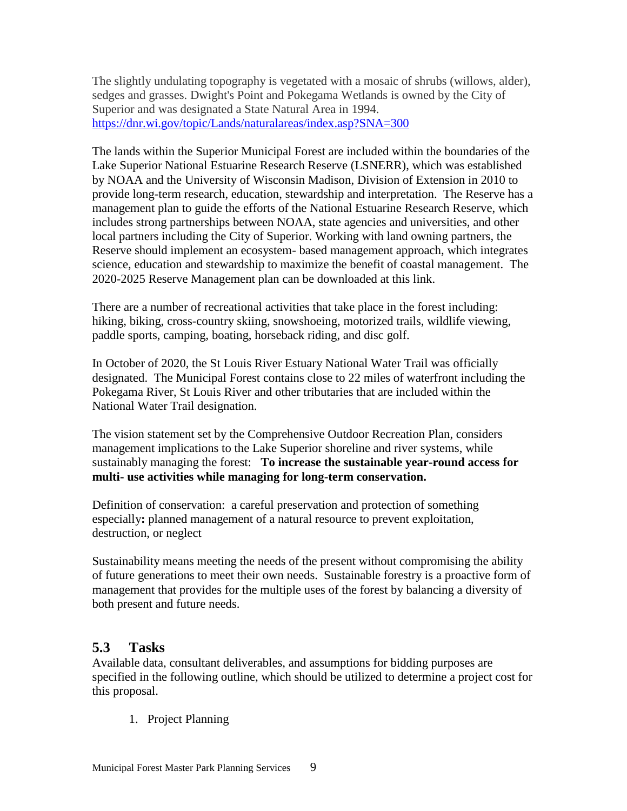The slightly undulating topography is vegetated with a mosaic of shrubs (willows, alder), sedges and grasses. Dwight's Point and Pokegama Wetlands is owned by the City of Superior and was designated a State Natural Area in 1994. <https://dnr.wi.gov/topic/Lands/naturalareas/index.asp?SNA=300>

The lands within the Superior Municipal Forest are included within the boundaries of the Lake Superior National Estuarine Research Reserve (LSNERR), which was established by NOAA and the University of Wisconsin Madison, Division of Extension in 2010 to provide long-term research, education, stewardship and interpretation. The Reserve has a management plan to guide the efforts of the National Estuarine Research Reserve, which includes strong partnerships between NOAA, state agencies and universities, and other local partners including the City of Superior. Working with land owning partners, the Reserve should implement an ecosystem- based management approach, which integrates science, education and stewardship to maximize the benefit of coastal management. The 2020-2025 Reserve Management plan can be downloaded at this link.

There are a number of recreational activities that take place in the forest including: hiking, biking, cross-country skiing, snowshoeing, motorized trails, wildlife viewing, paddle sports, camping, boating, horseback riding, and disc golf.

In October of 2020, the St Louis River Estuary National Water Trail was officially designated. The Municipal Forest contains close to 22 miles of waterfront including the Pokegama River, St Louis River and other tributaries that are included within the National Water Trail designation.

The vision statement set by the Comprehensive Outdoor Recreation Plan, considers management implications to the Lake Superior shoreline and river systems, while sustainably managing the forest: **To increase the sustainable year-round access for multi- use activities while managing for long-term conservation.** 

Definition of conservation: a careful preservation and protection of something especially**:** planned management of a natural resource to prevent exploitation, destruction, or neglect

Sustainability means meeting the needs of the present without compromising the ability of future generations to meet their own needs. Sustainable forestry is a proactive form of management that provides for the multiple uses of the forest by balancing a diversity of both present and future needs.

## **5.3 Tasks**

Available data, consultant deliverables, and assumptions for bidding purposes are specified in the following outline, which should be utilized to determine a project cost for this proposal.

1. Project Planning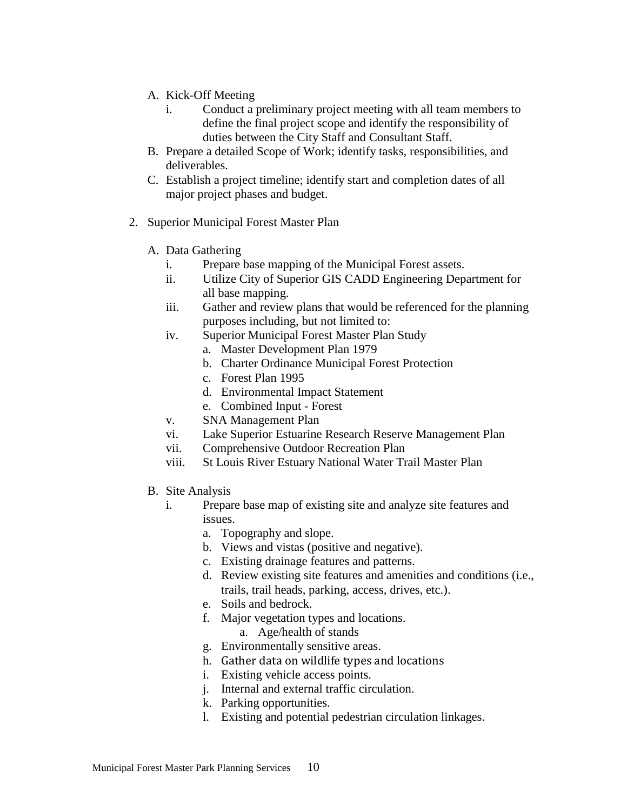- A. Kick-Off Meeting
	- i. Conduct a preliminary project meeting with all team members to define the final project scope and identify the responsibility of duties between the City Staff and Consultant Staff.
- B. Prepare a detailed Scope of Work; identify tasks, responsibilities, and deliverables.
- C. Establish a project timeline; identify start and completion dates of all major project phases and budget.
- 2. Superior Municipal Forest Master Plan
	- A. Data Gathering
		- i. Prepare base mapping of the Municipal Forest assets.
		- ii. Utilize City of Superior GIS CADD Engineering Department for all base mapping.
		- iii. Gather and review plans that would be referenced for the planning purposes including, but not limited to:
		- iv. Superior [Municipal](https://www.ci.superior.wi.us/DocumentCenter/View/1786) Forest Master Plan Study
			- a. Master [Development](https://www.ci.superior.wi.us/DocumentCenter/View/1787) Plan 1979
				- b. Charter [Ordinance](https://www.ci.superior.wi.us/DocumentCenter/View/1788) Municipal Forest Protection
				- c. [Forest](https://www.ci.superior.wi.us/DocumentCenter/View/1789) Plan 1995
				- d. [Environmental](https://www.ci.superior.wi.us/DocumentCenter/View/1791) Impact Statement
			- e. [Combined](https://www.ci.superior.wi.us/DocumentCenter/View/1793) Input Forest
		- v. SNA [Management](https://www.ci.superior.wi.us/DocumentCenter/View/1790) Plan
		- vi. Lake Superior Estuarine Research Reserve Management Plan
		- vii. Comprehensive Outdoor Recreation Plan
		- viii. St Louis River Estuary National Water Trail Master Plan
	- B. Site Analysis
		- i. Prepare base map of existing site and analyze site features and issues.
			- a. Topography and slope.
			- b. Views and vistas (positive and negative).
			- c. Existing drainage features and patterns.
			- d. Review existing site features and amenities and conditions (i.e., trails, trail heads, parking, access, drives, etc.).
			- e. Soils and bedrock.
			- f. Major vegetation types and locations.
				- a. Age/health of stands
			- g. Environmentally sensitive areas.
			- h. Gather data on wildlife types and locations
			- i. Existing vehicle access points.
			- j. Internal and external traffic circulation.
			- k. Parking opportunities.
			- l. Existing and potential pedestrian circulation linkages.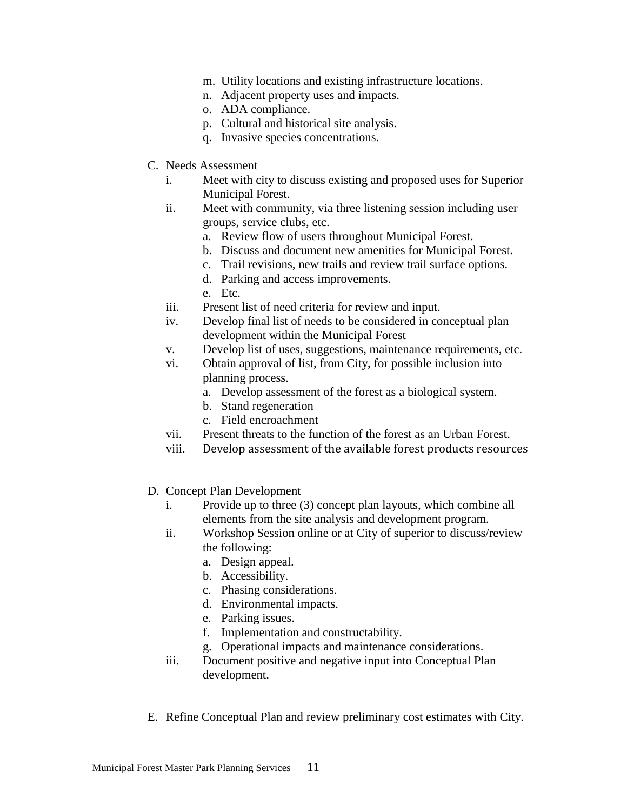- m. Utility locations and existing infrastructure locations.
- n. Adjacent property uses and impacts.
- o. ADA compliance.
- p. Cultural and historical site analysis.
- q. Invasive species concentrations.
- C. Needs Assessment
	- i. Meet with city to discuss existing and proposed uses for Superior Municipal Forest.
	- ii. Meet with community, via three listening session including user groups, service clubs, etc.
		- a. Review flow of users throughout Municipal Forest.
		- b. Discuss and document new amenities for Municipal Forest.
		- c. Trail revisions, new trails and review trail surface options.
		- d. Parking and access improvements.
		- e. Etc.
	- iii. Present list of need criteria for review and input.
	- iv. Develop final list of needs to be considered in conceptual plan development within the Municipal Forest
	- v. Develop list of uses, suggestions, maintenance requirements, etc.
	- vi. Obtain approval of list, from City, for possible inclusion into planning process.
		- a. Develop assessment of the forest as a biological system.
		- b. Stand regeneration
		- c. Field encroachment
	- vii. Present threats to the function of the forest as an Urban Forest.
	- viii. Develop assessment of the available forest products resources
- D. Concept Plan Development
	- i. Provide up to three (3) concept plan layouts, which combine all elements from the site analysis and development program.
	- ii. Workshop Session online or at City of superior to discuss/review the following:
		- a. Design appeal.
		- b. Accessibility.
		- c. Phasing considerations.
		- d. Environmental impacts.
		- e. Parking issues.
		- f. Implementation and constructability.
		- g. Operational impacts and maintenance considerations.
	- iii. Document positive and negative input into Conceptual Plan development.
- E. Refine Conceptual Plan and review preliminary cost estimates with City.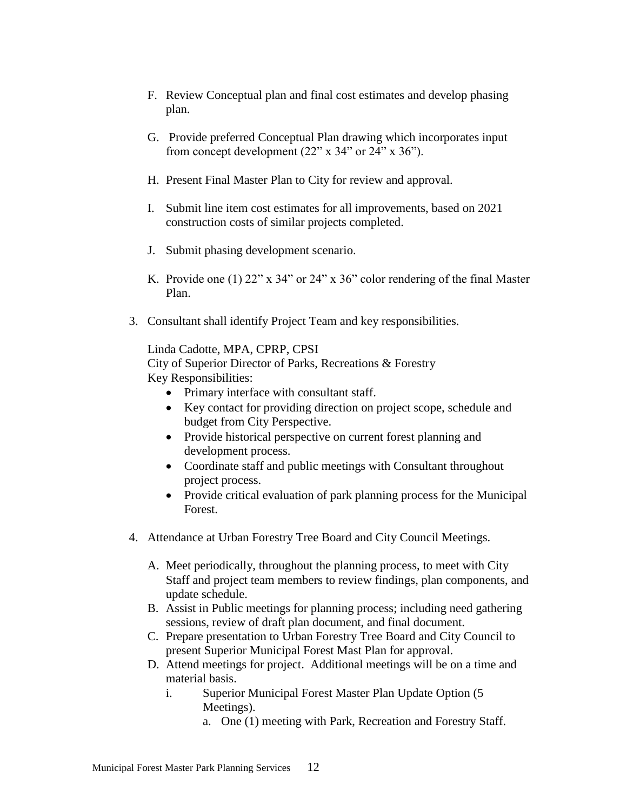- F. Review Conceptual plan and final cost estimates and develop phasing plan.
- G. Provide preferred Conceptual Plan drawing which incorporates input from concept development (22" x 34" or 24" x 36").
- H. Present Final Master Plan to City for review and approval.
- I. Submit line item cost estimates for all improvements, based on 2021 construction costs of similar projects completed.
- J. Submit phasing development scenario.
- K. Provide one (1) 22" x 34" or 24" x 36" color rendering of the final Master Plan.
- 3. Consultant shall identify Project Team and key responsibilities.

Linda Cadotte, MPA, CPRP, CPSI

City of Superior Director of Parks, Recreations & Forestry Key Responsibilities:

- Primary interface with consultant staff.
- Key contact for providing direction on project scope, schedule and budget from City Perspective.
- Provide historical perspective on current forest planning and development process.
- Coordinate staff and public meetings with Consultant throughout project process.
- Provide critical evaluation of park planning process for the Municipal Forest.
- 4. Attendance at Urban Forestry Tree Board and City Council Meetings.
	- A. Meet periodically, throughout the planning process, to meet with City Staff and project team members to review findings, plan components, and update schedule.
	- B. Assist in Public meetings for planning process; including need gathering sessions, review of draft plan document, and final document.
	- C. Prepare presentation to Urban Forestry Tree Board and City Council to present Superior Municipal Forest Mast Plan for approval.
	- D. Attend meetings for project. Additional meetings will be on a time and material basis.
		- i. Superior Municipal Forest Master Plan Update Option (5 Meetings).
			- a. One (1) meeting with Park, Recreation and Forestry Staff.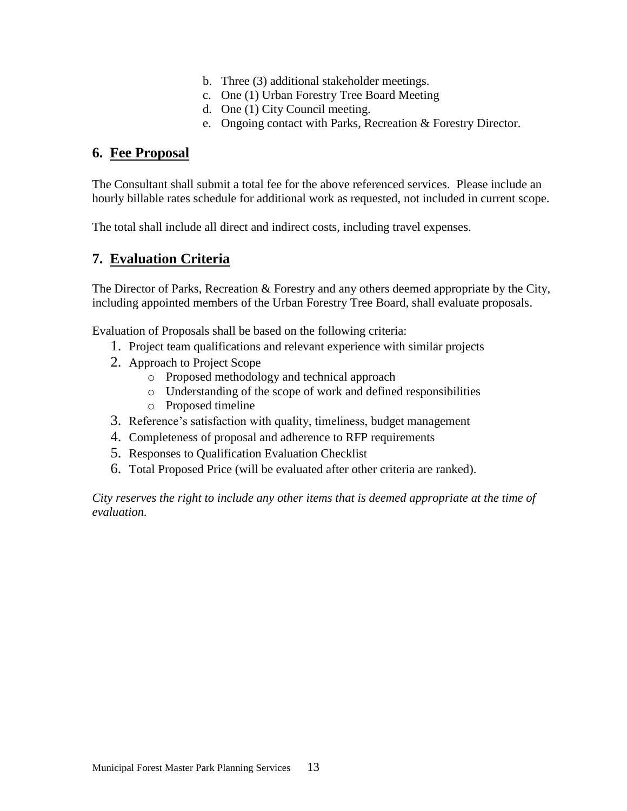- b. Three (3) additional stakeholder meetings.
- c. One (1) Urban Forestry Tree Board Meeting
- d. One (1) City Council meeting.
- e. Ongoing contact with Parks, Recreation & Forestry Director.

## <span id="page-14-0"></span>**6. Fee Proposal**

The Consultant shall submit a total fee for the above referenced services. Please include an hourly billable rates schedule for additional work as requested, not included in current scope.

The total shall include all direct and indirect costs, including travel expenses.

## <span id="page-14-1"></span>**7. Evaluation Criteria**

The Director of Parks, Recreation & Forestry and any others deemed appropriate by the City, including appointed members of the Urban Forestry Tree Board, shall evaluate proposals.

Evaluation of Proposals shall be based on the following criteria:

- 1. Project team qualifications and relevant experience with similar projects
- 2. Approach to Project Scope
	- o Proposed methodology and technical approach
	- o Understanding of the scope of work and defined responsibilities
	- o Proposed timeline
- 3. Reference's satisfaction with quality, timeliness, budget management
- 4. Completeness of proposal and adherence to RFP requirements
- 5. Responses to Qualification Evaluation Checklist
- 6. Total Proposed Price (will be evaluated after other criteria are ranked).

*City reserves the right to include any other items that is deemed appropriate at the time of evaluation.*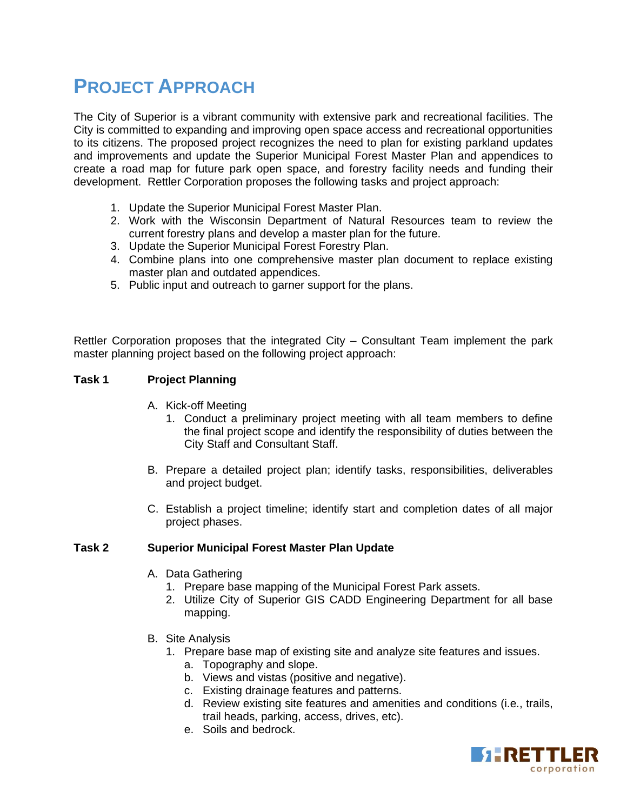## **PROJECT APPROACH**

The City of Superior is a vibrant community with extensive park and recreational facilities. The City is committed to expanding and improving open space access and recreational opportunities to its citizens. The proposed project recognizes the need to plan for existing parkland updates and improvements and update the Superior Municipal Forest Master Plan and appendices to create a road map for future park open space, and forestry facility needs and funding their development. Rettler Corporation proposes the following tasks and project approach:

- 1. Update the Superior Municipal Forest Master Plan.
- 2. Work with the Wisconsin Department of Natural Resources team to review the current forestry plans and develop a master plan for the future.
- 3. Update the Superior Municipal Forest Forestry Plan.
- 4. Combine plans into one comprehensive master plan document to replace existing master plan and outdated appendices.
- 5. Public input and outreach to garner support for the plans.

Rettler Corporation proposes that the integrated City – Consultant Team implement the park master planning project based on the following project approach:

#### **Task 1 Project Planning**

- A. Kick-off Meeting
	- 1. Conduct a preliminary project meeting with all team members to define the final project scope and identify the responsibility of duties between the City Staff and Consultant Staff.
- B. Prepare a detailed project plan; identify tasks, responsibilities, deliverables and project budget.
- C. Establish a project timeline; identify start and completion dates of all major project phases.

#### **Task 2 Superior Municipal Forest Master Plan Update**

- A. Data Gathering
	- 1. Prepare base mapping of the Municipal Forest Park assets.
	- 2. Utilize City of Superior GIS CADD Engineering Department for all base mapping.
- B. Site Analysis
	- 1. Prepare base map of existing site and analyze site features and issues.
		- a. Topography and slope.
		- b. Views and vistas (positive and negative).
		- c. Existing drainage features and patterns.
		- d. Review existing site features and amenities and conditions (i.e., trails, trail heads, parking, access, drives, etc).
		- e. Soils and bedrock.

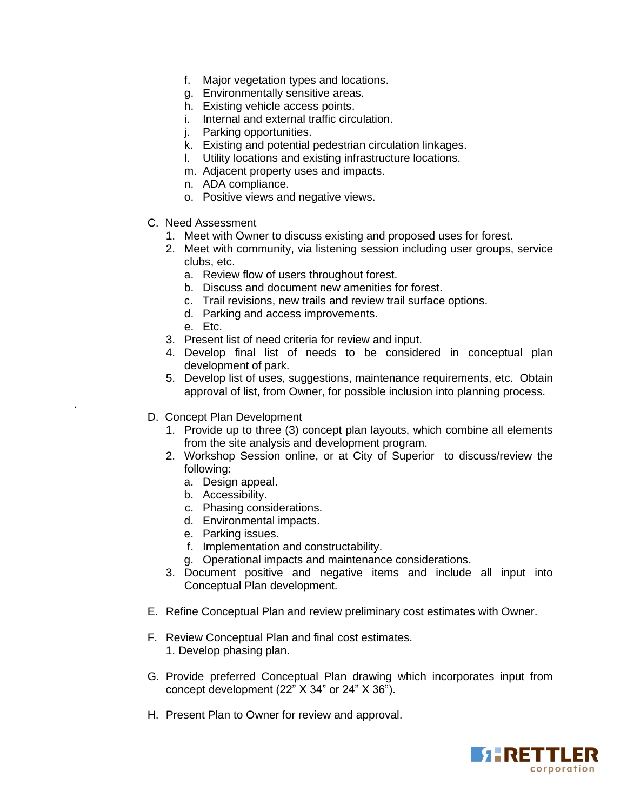- f. Major vegetation types and locations.
- g. Environmentally sensitive areas.
- h. Existing vehicle access points.
- i. Internal and external traffic circulation.
- j. Parking opportunities.
- k. Existing and potential pedestrian circulation linkages.
- l. Utility locations and existing infrastructure locations.
- m. Adjacent property uses and impacts.
- n. ADA compliance.
- o. Positive views and negative views.
- C. Need Assessment
	- 1. Meet with Owner to discuss existing and proposed uses for forest.
	- 2. Meet with community, via listening session including user groups, service clubs, etc.
		- a. Review flow of users throughout forest.
		- b. Discuss and document new amenities for forest.
		- c. Trail revisions, new trails and review trail surface options.
		- d. Parking and access improvements.
		- e. Etc.

.

- 3. Present list of need criteria for review and input.
- 4. Develop final list of needs to be considered in conceptual plan development of park.
- 5. Develop list of uses, suggestions, maintenance requirements, etc. Obtain approval of list, from Owner, for possible inclusion into planning process.
- D. Concept Plan Development
	- 1. Provide up to three (3) concept plan layouts, which combine all elements from the site analysis and development program.
	- 2. Workshop Session online, or at City of Superior to discuss/review the following:
		- a. Design appeal.
		- b. Accessibility.
		- c. Phasing considerations.
		- d. Environmental impacts.
		- e. Parking issues.
		- f. Implementation and constructability.
		- g. Operational impacts and maintenance considerations.
	- 3. Document positive and negative items and include all input into Conceptual Plan development.
- E. Refine Conceptual Plan and review preliminary cost estimates with Owner.
- F. Review Conceptual Plan and final cost estimates. 1. Develop phasing plan.
- G. Provide preferred Conceptual Plan drawing which incorporates input from concept development (22" X 34" or 24" X 36").
- H. Present Plan to Owner for review and approval.

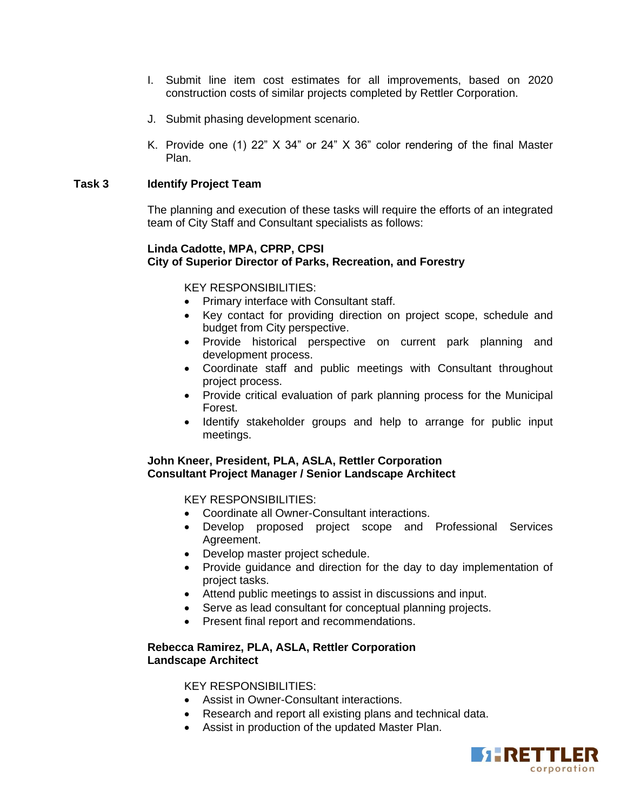- I. Submit line item cost estimates for all improvements, based on 2020 construction costs of similar projects completed by Rettler Corporation.
- J. Submit phasing development scenario.
- K. Provide one (1) 22" X 34" or 24" X 36" color rendering of the final Master Plan.

#### **Task 3 Identify Project Team**

The planning and execution of these tasks will require the efforts of an integrated team of City Staff and Consultant specialists as follows:

#### **Linda Cadotte, MPA, CPRP, CPSI City of Superior Director of Parks, Recreation, and Forestry**

KEY RESPONSIBILITIES:

- Primary interface with Consultant staff.
- Key contact for providing direction on project scope, schedule and budget from City perspective.
- Provide historical perspective on current park planning and development process.
- Coordinate staff and public meetings with Consultant throughout project process.
- Provide critical evaluation of park planning process for the Municipal Forest.
- Identify stakeholder groups and help to arrange for public input meetings.

#### **John Kneer, President, PLA, ASLA, Rettler Corporation Consultant Project Manager / Senior Landscape Architect**

KEY RESPONSIBILITIES:

- Coordinate all Owner-Consultant interactions.
- Develop proposed project scope and Professional Services Agreement.
- Develop master project schedule.
- Provide guidance and direction for the day to day implementation of project tasks.
- Attend public meetings to assist in discussions and input.
- Serve as lead consultant for conceptual planning projects.
- Present final report and recommendations.

#### **Rebecca Ramirez, PLA, ASLA, Rettler Corporation Landscape Architect**

KEY RESPONSIBILITIES:

- Assist in Owner-Consultant interactions.
- Research and report all existing plans and technical data.
- Assist in production of the updated Master Plan.

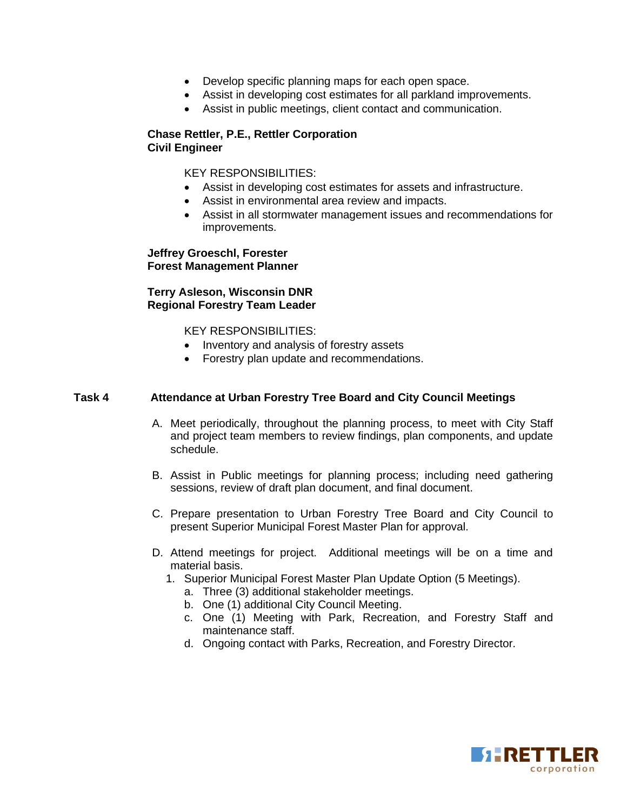- Develop specific planning maps for each open space.
- Assist in developing cost estimates for all parkland improvements.
- Assist in public meetings, client contact and communication.

#### **Chase Rettler, P.E., Rettler Corporation Civil Engineer**

KEY RESPONSIBILITIES:

- Assist in developing cost estimates for assets and infrastructure.
- Assist in environmental area review and impacts.
- Assist in all stormwater management issues and recommendations for improvements.

#### **Jeffrey Groeschl, Forester Forest Management Planner**

**Terry Asleson, Wisconsin DNR Regional Forestry Team Leader**

KEY RESPONSIBILITIES:

- Inventory and analysis of forestry assets
- Forestry plan update and recommendations.

#### **Task 4 Attendance at Urban Forestry Tree Board and City Council Meetings**

- A. Meet periodically, throughout the planning process, to meet with City Staff and project team members to review findings, plan components, and update schedule.
- B. Assist in Public meetings for planning process; including need gathering sessions, review of draft plan document, and final document.
- C. Prepare presentation to Urban Forestry Tree Board and City Council to present Superior Municipal Forest Master Plan for approval.
- D. Attend meetings for project. Additional meetings will be on a time and material basis.
	- 1. Superior Municipal Forest Master Plan Update Option (5 Meetings).
		- a. Three (3) additional stakeholder meetings.
		- b. One (1) additional City Council Meeting.
		- c. One (1) Meeting with Park, Recreation, and Forestry Staff and maintenance staff.
		- d. Ongoing contact with Parks, Recreation, and Forestry Director.

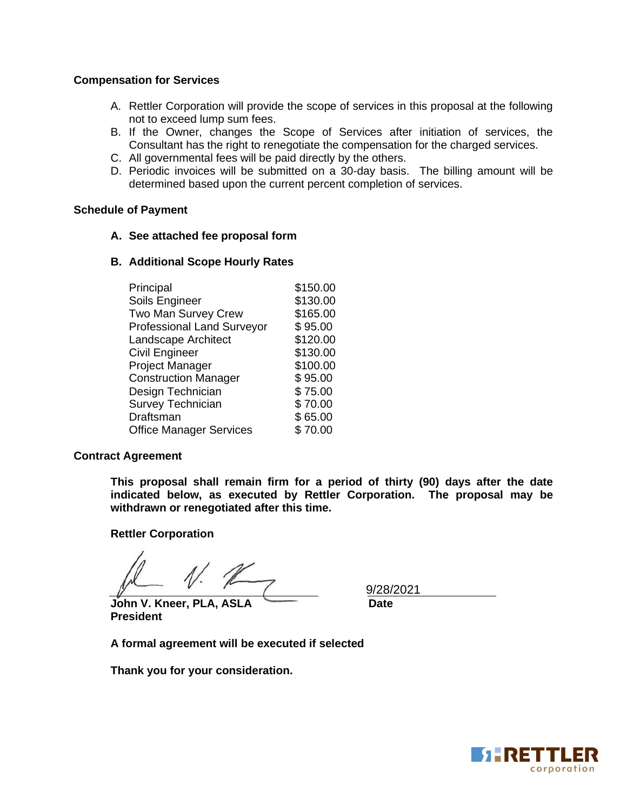#### **Compensation for Services**

- A. Rettler Corporation will provide the scope of services in this proposal at the following not to exceed lump sum fees.
- B. If the Owner, changes the Scope of Services after initiation of services, the Consultant has the right to renegotiate the compensation for the charged services.
- C. All governmental fees will be paid directly by the others.
- D. Periodic invoices will be submitted on a 30-day basis. The billing amount will be determined based upon the current percent completion of services.

#### **Schedule of Payment**

- **A. See attached fee proposal form**
- **B. Additional Scope Hourly Rates**

| Principal                         | \$150.00 |
|-----------------------------------|----------|
| Soils Engineer                    | \$130.00 |
| Two Man Survey Crew               | \$165.00 |
| <b>Professional Land Surveyor</b> | \$95.00  |
| Landscape Architect               | \$120.00 |
| <b>Civil Engineer</b>             | \$130.00 |
| Project Manager                   | \$100.00 |
| <b>Construction Manager</b>       | \$95.00  |
| Design Technician                 | \$75.00  |
| <b>Survey Technician</b>          | \$70.00  |
| Draftsman                         | \$65.00  |
| <b>Office Manager Services</b>    | \$70.00  |

#### **Contract Agreement**

**This proposal shall remain firm for a period of thirty (90) days after the date indicated below, as executed by Rettler Corporation. The proposal may be withdrawn or renegotiated after this time.**

#### **Rettler Corporation**

**John V. Kneer, PLA, ASLA Date President**

9/28/2021

**A formal agreement will be executed if selected**

**Thank you for your consideration.**

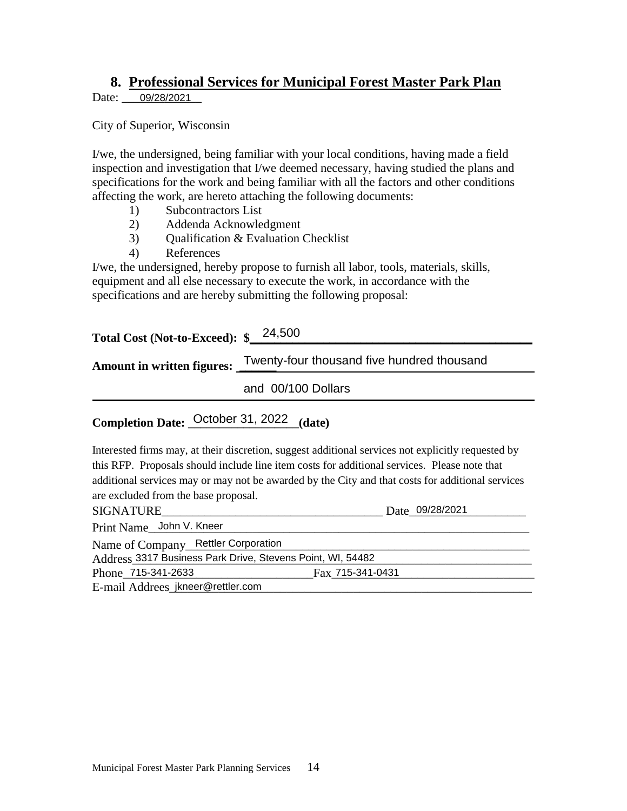## **8. Professional Services for Municipal Forest Master Park Plan**

Date: 09/28/2021

City of Superior, Wisconsin

I/we, the undersigned, being familiar with your local conditions, having made a field inspection and investigation that I/we deemed necessary, having studied the plans and specifications for the work and being familiar with all the factors and other conditions affecting the work, are hereto attaching the following documents:

- 1) Subcontractors List
- 2) Addenda Acknowledgment
- 3) Qualification & Evaluation Checklist
- 4) References

I/we, the undersigned, hereby propose to furnish all labor, tools, materials, skills, equipment and all else necessary to execute the work, in accordance with the specifications and are hereby submitting the following proposal:

| Total Cost (Not-to-Exceed): \$24,500 |                                            |
|--------------------------------------|--------------------------------------------|
| <b>Amount in written figures:</b>    | Twenty-four thousand five hundred thousand |
|                                      | and 00/100 Dollars                         |

## Completion Date: October 31, 2022 (date)

Interested firms may, at their discretion, suggest additional services not explicitly requested by this RFP. Proposals should include line item costs for additional services. Please note that additional services may or may not be awarded by the City and that costs for additional services are excluded from the base proposal.

| SIGNATURE                                                  | Date 09/28/2021  |
|------------------------------------------------------------|------------------|
| Print Name John V. Kneer                                   |                  |
| Name of Company_Rettler Corporation                        |                  |
| Address 3317 Business Park Drive, Stevens Point, WI, 54482 |                  |
| Phone 715-341-2633                                         | Fax 715-341-0431 |
| E-mail Addrees jkneer@rettler.com                          |                  |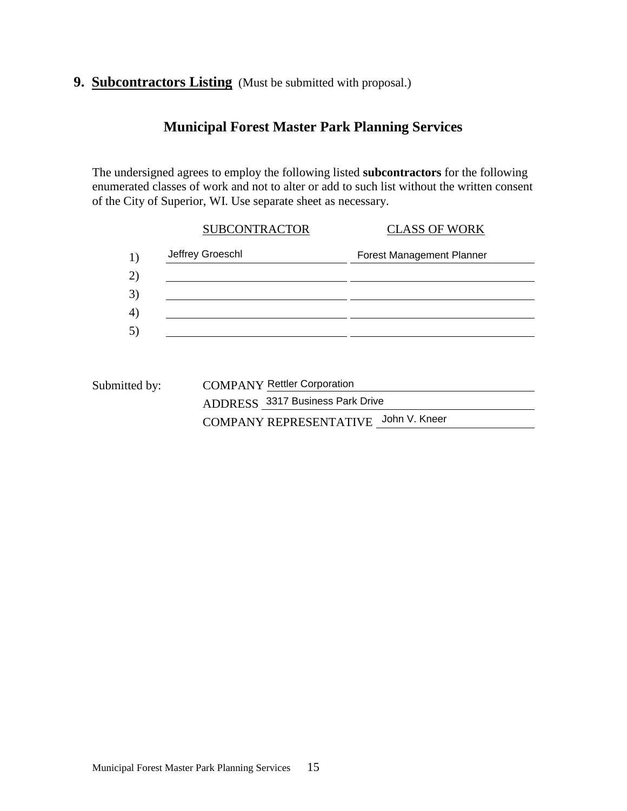## **9. Subcontractors Listing** (Must be submitted with proposal.)

## **Municipal Forest Master Park Planning Services**

The undersigned agrees to employ the following listed **subcontractors** for the following enumerated classes of work and not to alter or add to such list without the written consent of the City of Superior, WI. Use separate sheet as necessary.

| <b>SUBCONTRACTOR</b> | <b>CLASS OF WORK</b>             |
|----------------------|----------------------------------|
| Jeffrey Groeschl     | <b>Forest Management Planner</b> |
|                      |                                  |
|                      |                                  |
|                      |                                  |
|                      |                                  |

| Submitted by: | <b>COMPANY Rettler Corporation</b>   |
|---------------|--------------------------------------|
|               | ADDRESS 3317 Business Park Drive     |
|               | COMPANY REPRESENTATIVE John V. Kneer |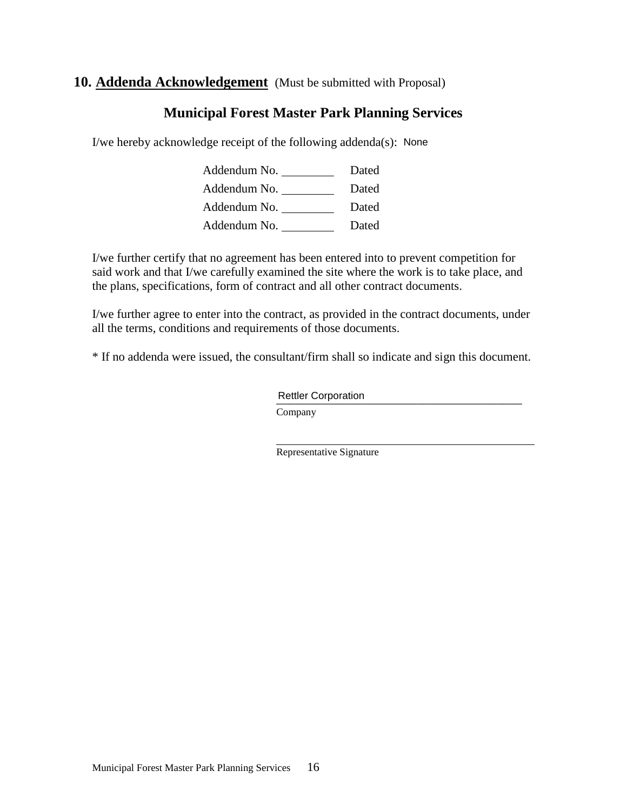## **10. Addenda Acknowledgement** (Must be submitted with Proposal)

## **Municipal Forest Master Park Planning Services**

I/we hereby acknowledge receipt of the following addenda(s): None

Addendum No. \_\_\_\_\_\_\_\_\_\_\_\_\_\_\_\_ Dated Addendum No. \_\_\_\_\_\_\_\_\_\_\_\_\_ Dated Addendum No. Dated Addendum No. Dated

I/we further certify that no agreement has been entered into to prevent competition for said work and that I/we carefully examined the site where the work is to take place, and the plans, specifications, form of contract and all other contract documents.

I/we further agree to enter into the contract, as provided in the contract documents, under all the terms, conditions and requirements of those documents.

\* If no addenda were issued, the consultant/firm shall so indicate and sign this document.

\_\_\_\_\_\_\_\_\_\_\_\_\_\_\_\_\_\_\_\_\_\_\_\_\_\_\_\_\_\_\_\_\_\_\_\_\_\_\_\_ Rettler CorporationCompany

Representative Signature

i<br>L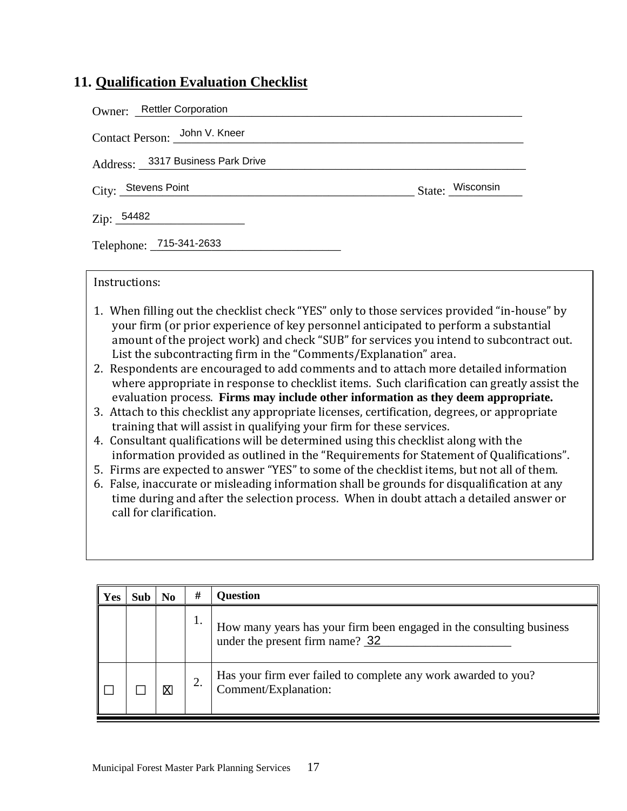## **11. Qualification Evaluation Checklist**

| Owner: Rettler Corporation        |                  |
|-----------------------------------|------------------|
| Contact Person: John V. Kneer     |                  |
| Address: 3317 Business Park Drive |                  |
| City: Stevens Point               | State: Wisconsin |
| Zip: 54482                        |                  |
| Telephone: 715-341-2633           |                  |

Instructions:

- 1. When filling out the checklist check "YES" only to those services provided "in-house" by your firm (or prior experience of key personnel anticipated to perform a substantial amount of the project work) and check "SUB" for services you intend to subcontract out. List the subcontracting firm in the "Comments/Explanation" area.
- 2. Respondents are encouraged to add comments and to attach more detailed information where appropriate in response to checklist items. Such clarification can greatly assist the evaluation process. **Firms may include other information as they deem appropriate.**
- 3. Attach to this checklist any appropriate licenses, certification, degrees, or appropriate training that will assist in qualifying your firm for these services.
- 4. Consultant qualifications will be determined using this checklist along with the information provided as outlined in the "Requirements for Statement of Qualifications".
- 5. Firms are expected to answer "YES" to some of the checklist items, but not all of them.
- 6. False, inaccurate or misleading information shall be grounds for disqualification at any time during and after the selection process. When in doubt attach a detailed answer or call for clarification.

| Yes | No | # | <b>Question</b>                                                                                         |
|-----|----|---|---------------------------------------------------------------------------------------------------------|
|     |    |   | How many years has your firm been engaged in the consulting business<br>under the present firm name? 32 |
|     | Χ  |   | Has your firm ever failed to complete any work awarded to you?<br>Comment/Explanation:                  |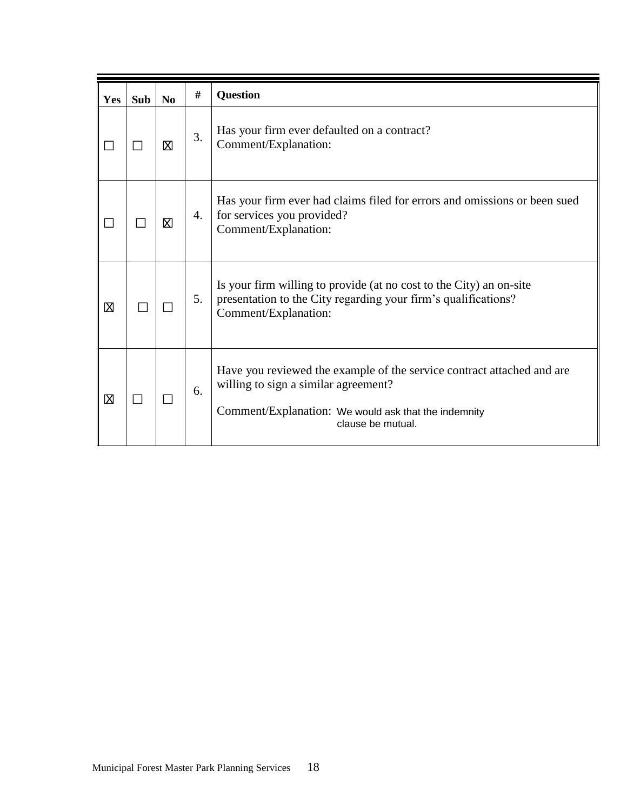| Yes         | <b>Sub</b> | No | #  | <b>Question</b>                                                                                                                                                                             |
|-------------|------------|----|----|---------------------------------------------------------------------------------------------------------------------------------------------------------------------------------------------|
|             |            | Χ  | 3. | Has your firm ever defaulted on a contract?<br>Comment/Explanation:                                                                                                                         |
|             |            | Χ  | 4. | Has your firm ever had claims filed for errors and omissions or been sued<br>for services you provided?<br>Comment/Explanation:                                                             |
| X           |            |    | 5. | Is your firm willing to provide (at no cost to the City) an on-site<br>presentation to the City regarding your firm's qualifications?<br>Comment/Explanation:                               |
| $\boxtimes$ | $\Box$     |    | 6. | Have you reviewed the example of the service contract attached and are<br>willing to sign a similar agreement?<br>Comment/Explanation: We would ask that the indemnity<br>clause be mutual. |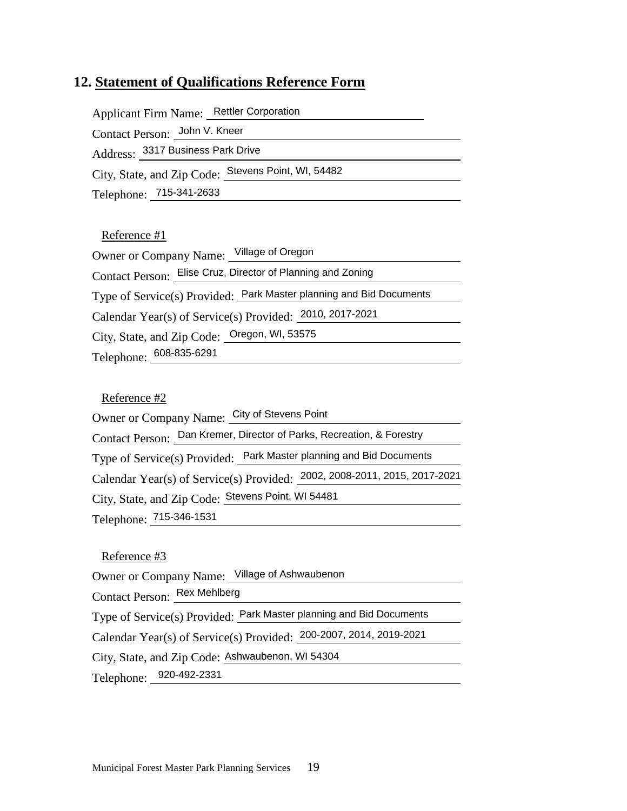## **12. Statement of Qualifications Reference Form**

| Applicant Firm Name: Rettler Corporation            |  |
|-----------------------------------------------------|--|
| Contact Person: John V. Kneer                       |  |
| Address: 3317 Business Park Drive                   |  |
| City, State, and Zip Code: Stevens Point, WI, 54482 |  |
| Telephone: 715-341-2633                             |  |
|                                                     |  |

#### Reference #1

| Owner or Company Name: Village of Oregon                            |
|---------------------------------------------------------------------|
| Contact Person: Elise Cruz, Director of Planning and Zoning         |
| Type of Service(s) Provided: Park Master planning and Bid Documents |
| Calendar Year(s) of Service(s) Provided: 2010, 2017-2021            |
| City, State, and Zip Code: Oregon, WI, 53575                        |
| Telephone: 608-835-6291                                             |

#### Reference #2

| Owner or Company Name: City of Stevens Point                              |  |  |
|---------------------------------------------------------------------------|--|--|
| Contact Person: Dan Kremer, Director of Parks, Recreation, & Forestry     |  |  |
| Type of Service(s) Provided: Park Master planning and Bid Documents       |  |  |
| Calendar Year(s) of Service(s) Provided: 2002, 2008-2011, 2015, 2017-2021 |  |  |
| City, State, and Zip Code: Stevens Point, WI 54481                        |  |  |
| Telephone: 715-346-1531                                                   |  |  |
|                                                                           |  |  |

#### Reference #3

Owner or Company Name: Village of Ashwaubenon

Contact Person: **Fex Mehlberg** 

Contact Person: <u>\_Rex Mehlberg</u><br>Type of Service(s) Provided: \_Park Master planning and Bid Documents

Calendar Year(s) of Service(s) Provided: 200-2007, 2014, 2019-2021

City, State, and Zip Code: Ashwaubenon, WI 54304

Telephone: 920-492-2331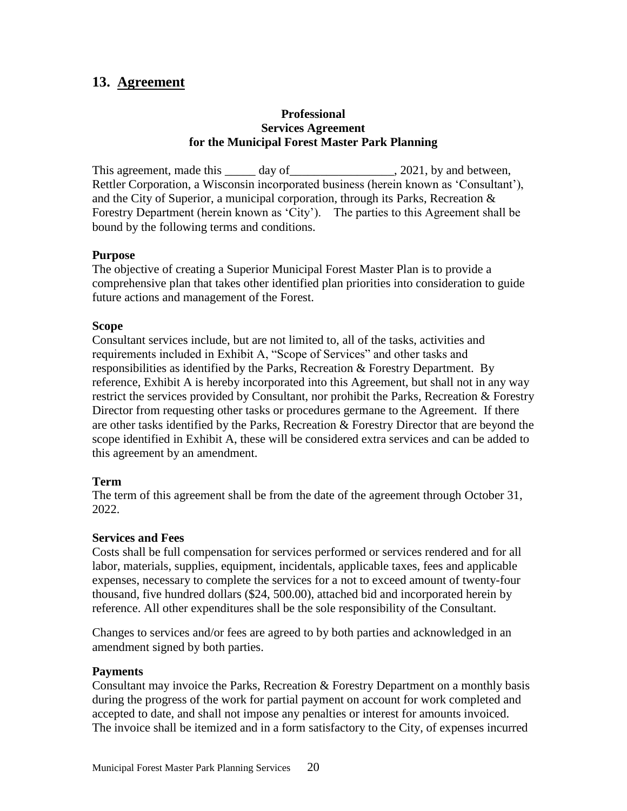## <span id="page-26-0"></span>**13. Agreement**

#### **Professional Services Agreement for the Municipal Forest Master Park Planning**

This agreement, made this day of the same capacity of the same capacity of  $\alpha$ . 2021, by and between, Rettler Corporation, a Wisconsin incorporated business (herein known as 'Consultant'), and the City of Superior, a municipal corporation, through its Parks, Recreation & Forestry Department (herein known as 'City'). The parties to this Agreement shall be bound by the following terms and conditions.

#### **Purpose**

The objective of creating a Superior Municipal Forest Master Plan is to provide a comprehensive plan that takes other identified plan priorities into consideration to guide future actions and management of the Forest.

#### **Scope**

Consultant services include, but are not limited to, all of the tasks, activities and requirements included in Exhibit A, "Scope of Services" and other tasks and responsibilities as identified by the Parks, Recreation & Forestry Department. By reference, Exhibit A is hereby incorporated into this Agreement, but shall not in any way restrict the services provided by Consultant, nor prohibit the Parks, Recreation & Forestry Director from requesting other tasks or procedures germane to the Agreement. If there are other tasks identified by the Parks, Recreation & Forestry Director that are beyond the scope identified in Exhibit A, these will be considered extra services and can be added to this agreement by an amendment.

#### **Term**

The term of this agreement shall be from the date of the agreement through October 31, 2022.

#### **Services and Fees**

Costs shall be full compensation for services performed or services rendered and for all labor, materials, supplies, equipment, incidentals, applicable taxes, fees and applicable expenses, necessary to complete the services for a not to exceed amount of twenty-four thousand, five hundred dollars (\$24, 500.00), attached bid and incorporated herein by reference. All other expenditures shall be the sole responsibility of the Consultant.

Changes to services and/or fees are agreed to by both parties and acknowledged in an amendment signed by both parties.

#### **Payments**

Consultant may invoice the Parks, Recreation & Forestry Department on a monthly basis during the progress of the work for partial payment on account for work completed and accepted to date, and shall not impose any penalties or interest for amounts invoiced. The invoice shall be itemized and in a form satisfactory to the City, of expenses incurred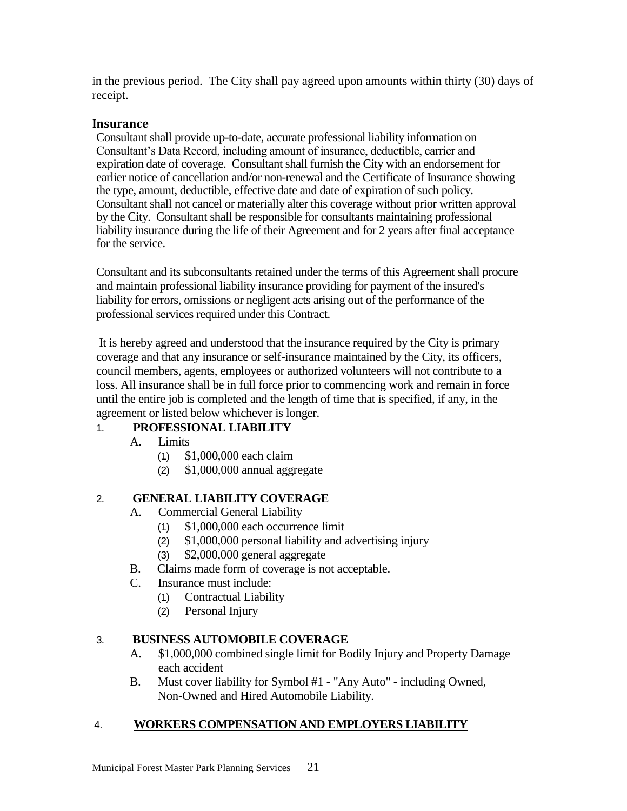in the previous period. The City shall pay agreed upon amounts within thirty (30) days of receipt.

#### **Insurance**

Consultant shall provide up-to-date, accurate professional liability information on Consultant's Data Record, including amount of insurance, deductible, carrier and expiration date of coverage. Consultant shall furnish the City with an endorsement for earlier notice of cancellation and/or non-renewal and the Certificate of Insurance showing the type, amount, deductible, effective date and date of expiration of such policy. Consultant shall not cancel or materially alter this coverage without prior written approval by the City. Consultant shall be responsible for consultants maintaining professional liability insurance during the life of their Agreement and for 2 years after final acceptance for the service.

Consultant and its subconsultants retained under the terms of this Agreement shall procure and maintain professional liability insurance providing for payment of the insured's liability for errors, omissions or negligent acts arising out of the performance of the professional services required under this Contract.

It is hereby agreed and understood that the insurance required by the City is primary coverage and that any insurance or self-insurance maintained by the City, its officers, council members, agents, employees or authorized volunteers will not contribute to a loss. All insurance shall be in full force prior to commencing work and remain in force until the entire job is completed and the length of time that is specified, if any, in the agreement or listed below whichever is longer.

#### 1. **PROFESSIONAL LIABILITY**

- A. Limits
	- (1) \$1,000,000 each claim
	- (2) \$1,000,000 annual aggregate

### 2. **GENERAL LIABILITY COVERAGE**

- A. Commercial General Liability
	- (1) \$1,000,000 each occurrence limit
	- (2) \$1,000,000 personal liability and advertising injury
	- (3) \$2,000,000 general aggregate
- B. Claims made form of coverage is not acceptable.
- C. Insurance must include:
	- (1) Contractual Liability
	- (2) Personal Injury

#### 3. **BUSINESS AUTOMOBILE COVERAGE**

- A. \$1,000,000 combined single limit for Bodily Injury and Property Damage each accident
- B. Must cover liability for Symbol #1 "Any Auto" including Owned, Non-Owned and Hired Automobile Liability.

#### 4. **WORKERS COMPENSATION AND EMPLOYERS LIABILITY**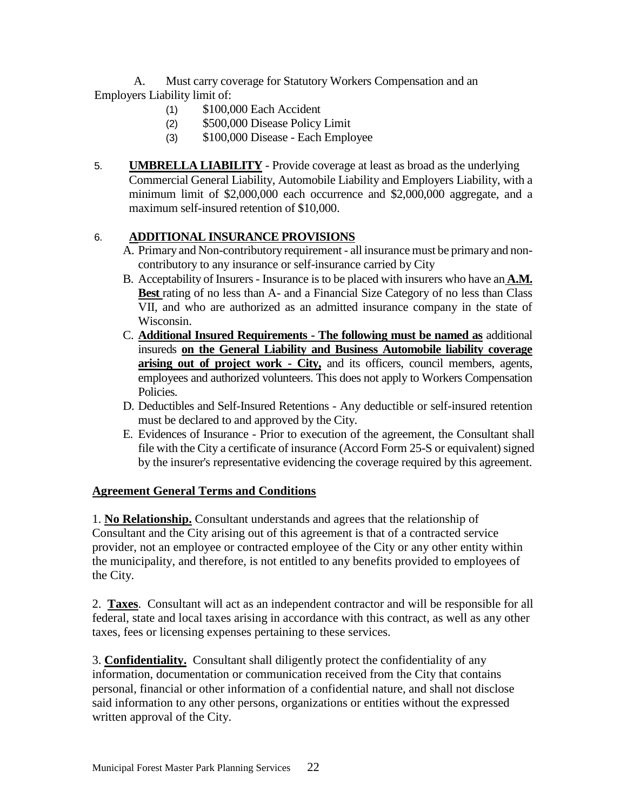A. Must carry coverage for Statutory Workers Compensation and an Employers Liability limit of:

- (1) \$100,000 Each Accident
- (2) \$500,000 Disease Policy Limit
- (3) \$100,000 Disease Each Employee
- 5. **UMBRELLA LIABILITY** Provide coverage at least as broad as the underlying Commercial General Liability, Automobile Liability and Employers Liability, with a minimum limit of \$2,000,000 each occurrence and \$2,000,000 aggregate, and a maximum self-insured retention of \$10,000.

### 6. **ADDITIONAL INSURANCE PROVISIONS**

- A. Primary and Non-contributory requirement all insurance must be primary and noncontributory to any insurance or self-insurance carried by City
- B. Acceptability of Insurers- Insurance is to be placed with insurers who have an **A.M. Best** rating of no less than A- and a Financial Size Category of no less than Class VII, and who are authorized as an admitted insurance company in the state of Wisconsin.
- C. **Additional Insured Requirements - The following must be named as** additional insureds **on the General Liability and Business Automobile liability coverage arising out of project work - City,** and its officers, council members, agents, employees and authorized volunteers. This does not apply to Workers Compensation Policies.
- D. Deductibles and Self-Insured Retentions Any deductible or self-insured retention must be declared to and approved by the City.
- E. Evidences of Insurance Prior to execution of the agreement, the Consultant shall file with the City a certificate of insurance (Accord Form 25-S or equivalent) signed by the insurer's representative evidencing the coverage required by this agreement.

#### **Agreement General Terms and Conditions**

1. **No Relationship.** Consultant understands and agrees that the relationship of Consultant and the City arising out of this agreement is that of a contracted service provider, not an employee or contracted employee of the City or any other entity within the municipality, and therefore, is not entitled to any benefits provided to employees of the City.

2. **Taxes**. Consultant will act as an independent contractor and will be responsible for all federal, state and local taxes arising in accordance with this contract, as well as any other taxes, fees or licensing expenses pertaining to these services.

3. **Confidentiality.** Consultant shall diligently protect the confidentiality of any information, documentation or communication received from the City that contains personal, financial or other information of a confidential nature, and shall not disclose said information to any other persons, organizations or entities without the expressed written approval of the City.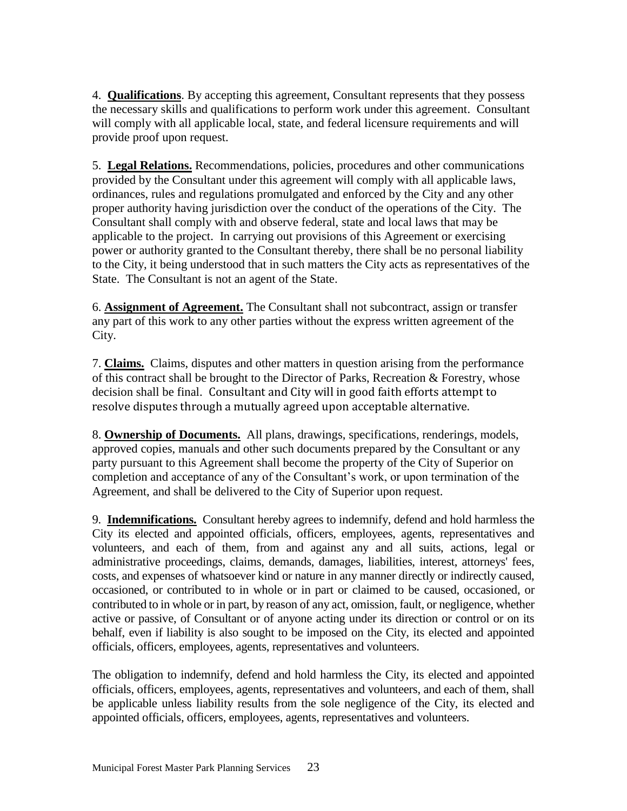4. **Qualifications**. By accepting this agreement, Consultant represents that they possess the necessary skills and qualifications to perform work under this agreement. Consultant will comply with all applicable local, state, and federal licensure requirements and will provide proof upon request.

5. **Legal Relations.** Recommendations, policies, procedures and other communications provided by the Consultant under this agreement will comply with all applicable laws, ordinances, rules and regulations promulgated and enforced by the City and any other proper authority having jurisdiction over the conduct of the operations of the City. The Consultant shall comply with and observe federal, state and local laws that may be applicable to the project. In carrying out provisions of this Agreement or exercising power or authority granted to the Consultant thereby, there shall be no personal liability to the City, it being understood that in such matters the City acts as representatives of the State. The Consultant is not an agent of the State.

6. **Assignment of Agreement.** The Consultant shall not subcontract, assign or transfer any part of this work to any other parties without the express written agreement of the City.

7. **Claims.** Claims, disputes and other matters in question arising from the performance of this contract shall be brought to the Director of Parks, Recreation & Forestry, whose decision shall be final. Consultant and City will in good faith efforts attempt to resolve disputes through a mutually agreed upon acceptable alternative.

8. **Ownership of Documents.** All plans, drawings, specifications, renderings, models, approved copies, manuals and other such documents prepared by the Consultant or any party pursuant to this Agreement shall become the property of the City of Superior on completion and acceptance of any of the Consultant's work, or upon termination of the Agreement, and shall be delivered to the City of Superior upon request.

9. **Indemnifications.** Consultant hereby agrees to indemnify, defend and hold harmless the City its elected and appointed officials, officers, employees, agents, representatives and volunteers, and each of them, from and against any and all suits, actions, legal or administrative proceedings, claims, demands, damages, liabilities, interest, attorneys' fees, costs, and expenses of whatsoever kind or nature in any manner directly or indirectly caused, occasioned, or contributed to in whole or in part or claimed to be caused, occasioned, or contributed to in whole or in part, by reason of any act, omission, fault, or negligence, whether active or passive, of Consultant or of anyone acting under its direction or control or on its behalf, even if liability is also sought to be imposed on the City, its elected and appointed officials, officers, employees, agents, representatives and volunteers.

The obligation to indemnify, defend and hold harmless the City, its elected and appointed officials, officers, employees, agents, representatives and volunteers, and each of them, shall be applicable unless liability results from the sole negligence of the City, its elected and appointed officials, officers, employees, agents, representatives and volunteers.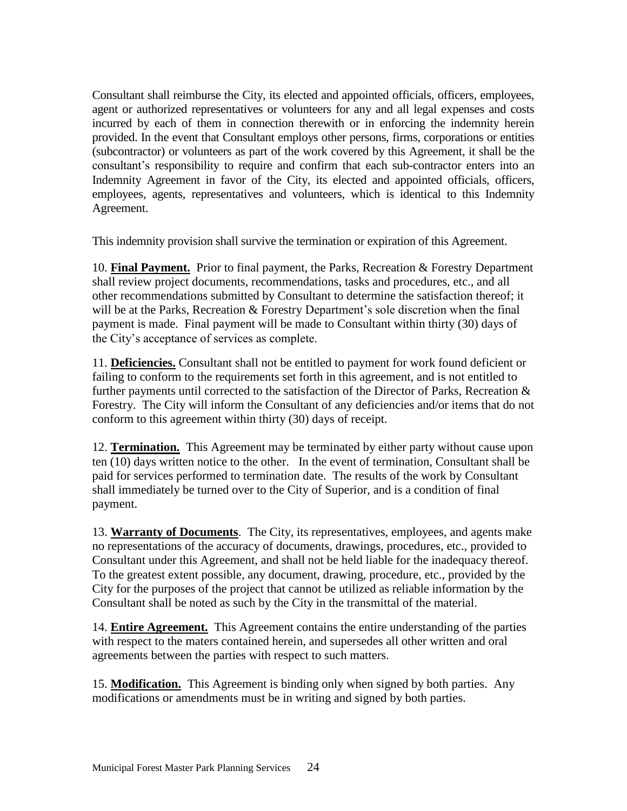Consultant shall reimburse the City, its elected and appointed officials, officers, employees, agent or authorized representatives or volunteers for any and all legal expenses and costs incurred by each of them in connection therewith or in enforcing the indemnity herein provided. In the event that Consultant employs other persons, firms, corporations or entities (subcontractor) or volunteers as part of the work covered by this Agreement, it shall be the consultant's responsibility to require and confirm that each sub-contractor enters into an Indemnity Agreement in favor of the City, its elected and appointed officials, officers, employees, agents, representatives and volunteers, which is identical to this Indemnity Agreement.

This indemnity provision shall survive the termination or expiration of this Agreement.

10. **Final Payment.** Prior to final payment, the Parks, Recreation & Forestry Department shall review project documents, recommendations, tasks and procedures, etc., and all other recommendations submitted by Consultant to determine the satisfaction thereof; it will be at the Parks, Recreation & Forestry Department's sole discretion when the final payment is made. Final payment will be made to Consultant within thirty (30) days of the City's acceptance of services as complete.

11. **Deficiencies.** Consultant shall not be entitled to payment for work found deficient or failing to conform to the requirements set forth in this agreement, and is not entitled to further payments until corrected to the satisfaction of the Director of Parks, Recreation & Forestry. The City will inform the Consultant of any deficiencies and/or items that do not conform to this agreement within thirty (30) days of receipt*.*

12. **Termination.** This Agreement may be terminated by either party without cause upon ten (10) days written notice to the other. In the event of termination, Consultant shall be paid for services performed to termination date. The results of the work by Consultant shall immediately be turned over to the City of Superior, and is a condition of final payment.

13. **Warranty of Documents**. The City, its representatives, employees, and agents make no representations of the accuracy of documents, drawings, procedures, etc., provided to Consultant under this Agreement, and shall not be held liable for the inadequacy thereof. To the greatest extent possible, any document, drawing, procedure, etc., provided by the City for the purposes of the project that cannot be utilized as reliable information by the Consultant shall be noted as such by the City in the transmittal of the material.

14. **Entire Agreement.** This Agreement contains the entire understanding of the parties with respect to the maters contained herein, and supersedes all other written and oral agreements between the parties with respect to such matters.

15. **Modification.** This Agreement is binding only when signed by both parties. Any modifications or amendments must be in writing and signed by both parties.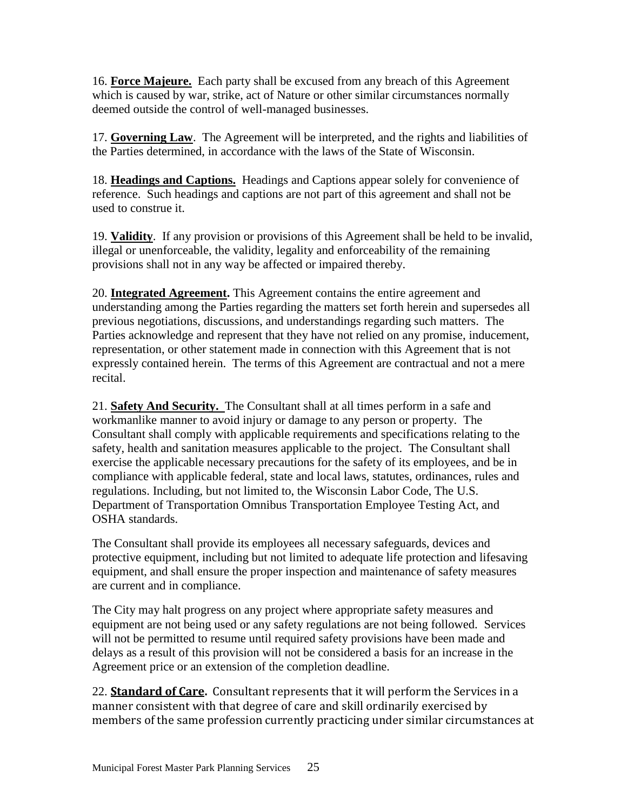16. **Force Majeure.** Each party shall be excused from any breach of this Agreement which is caused by war, strike, act of Nature or other similar circumstances normally deemed outside the control of well-managed businesses.

17. **Governing Law**. The Agreement will be interpreted, and the rights and liabilities of the Parties determined, in accordance with the laws of the State of Wisconsin.

18. **Headings and Captions.** Headings and Captions appear solely for convenience of reference. Such headings and captions are not part of this agreement and shall not be used to construe it.

19. **Validity**. If any provision or provisions of this Agreement shall be held to be invalid, illegal or unenforceable, the validity, legality and enforceability of the remaining provisions shall not in any way be affected or impaired thereby.

20. **Integrated Agreement.** This Agreement contains the entire agreement and understanding among the Parties regarding the matters set forth herein and supersedes all previous negotiations, discussions, and understandings regarding such matters. The Parties acknowledge and represent that they have not relied on any promise, inducement, representation, or other statement made in connection with this Agreement that is not expressly contained herein. The terms of this Agreement are contractual and not a mere recital.

21. **Safety And Security.** The Consultant shall at all times perform in a safe and workmanlike manner to avoid injury or damage to any person or property. The Consultant shall comply with applicable requirements and specifications relating to the safety, health and sanitation measures applicable to the project. The Consultant shall exercise the applicable necessary precautions for the safety of its employees, and be in compliance with applicable federal, state and local laws, statutes, ordinances, rules and regulations. Including, but not limited to, the Wisconsin Labor Code, The U.S. Department of Transportation Omnibus Transportation Employee Testing Act, and OSHA standards.

The Consultant shall provide its employees all necessary safeguards, devices and protective equipment, including but not limited to adequate life protection and lifesaving equipment, and shall ensure the proper inspection and maintenance of safety measures are current and in compliance.

The City may halt progress on any project where appropriate safety measures and equipment are not being used or any safety regulations are not being followed. Services will not be permitted to resume until required safety provisions have been made and delays as a result of this provision will not be considered a basis for an increase in the Agreement price or an extension of the completion deadline.

22. **Standard of Care.** Consultant represents that it will perform the Services in a manner consistent with that degree of care and skill ordinarily exercised by members of the same profession currently practicing under similar circumstances at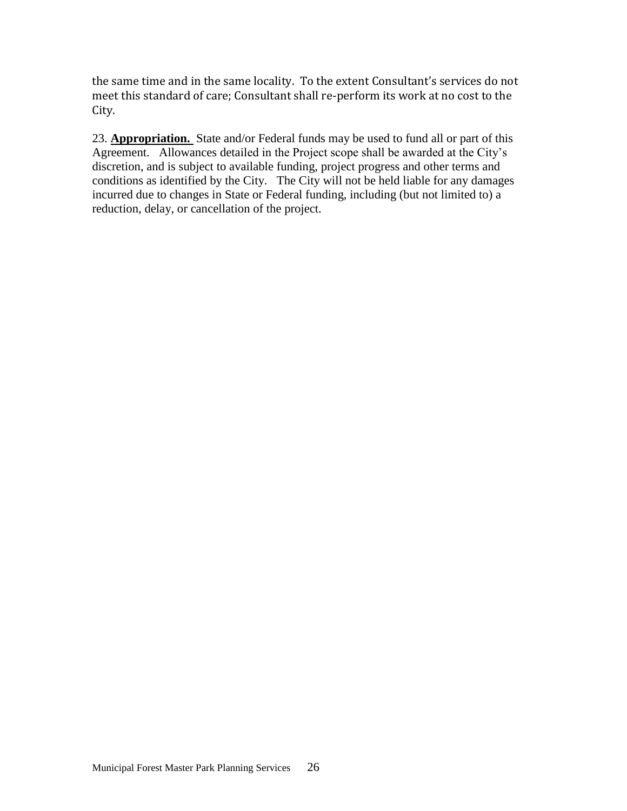the same time and in the same locality. To the extent Consultant's services do not meet this standard of care; Consultant shall re-perform its work at no cost to the City.

23. **Appropriation.** State and/or Federal funds may be used to fund all or part of this Agreement. Allowances detailed in the Project scope shall be awarded at the City's discretion, and is subject to available funding, project progress and other terms and conditions as identified by the City. The City will not be held liable for any damages incurred due to changes in State or Federal funding, including (but not limited to) a reduction, delay, or cancellation of the project.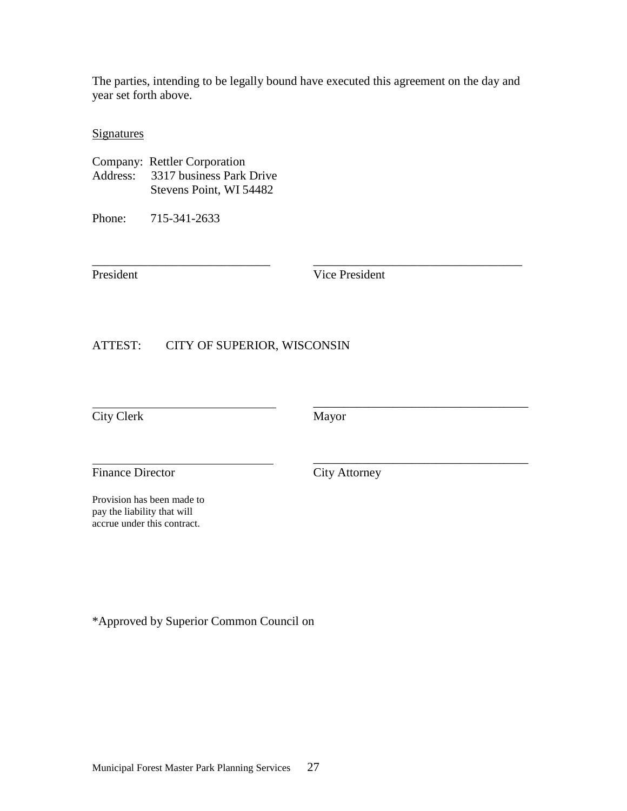The parties, intending to be legally bound have executed this agreement on the day and year set forth above.

\_\_\_\_\_\_\_\_\_\_\_\_\_\_\_\_\_\_\_\_\_\_\_\_\_\_\_\_\_ \_\_\_\_\_\_\_\_\_\_\_\_\_\_\_\_\_\_\_\_\_\_\_\_\_\_\_\_\_\_\_\_\_\_

**Signatures** 

| Company: Rettler Corporation      |
|-----------------------------------|
| Address: 3317 business Park Drive |
| Stevens Point, WI 54482           |

Phone: 715-341-2633

President Vice President

ATTEST: CITY OF SUPERIOR, WISCONSIN

City Clerk Mayor

 $\overline{\phantom{a}}$  , and the contract of the contract of the contract of the contract of the contract of the contract of the contract of the contract of the contract of the contract of the contract of the contract of the contrac

 $\overline{\phantom{a}}$  , and the contract of the contract of the contract of the contract of the contract of the contract of the contract of the contract of the contract of the contract of the contract of the contract of the contrac

Finance Director City Attorney

Provision has been made to pay the liability that will accrue under this contract.

\*Approved by Superior Common Council on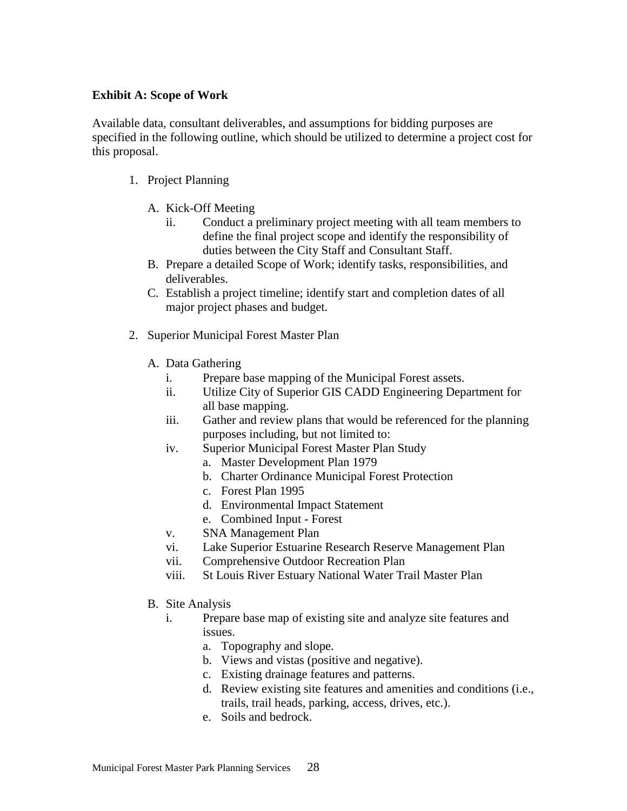#### **Exhibit A: Scope of Work**

Available data, consultant deliverables, and assumptions for bidding purposes are specified in the following outline, which should be utilized to determine a project cost for this proposal.

- 1. Project Planning
	- A. Kick-Off Meeting
		- ii. Conduct a preliminary project meeting with all team members to define the final project scope and identify the responsibility of duties between the City Staff and Consultant Staff.
	- B. Prepare a detailed Scope of Work; identify tasks, responsibilities, and deliverables.
	- C. Establish a project timeline; identify start and completion dates of all major project phases and budget.
- 2. Superior Municipal Forest Master Plan
	- A. Data Gathering
		- i. Prepare base mapping of the Municipal Forest assets.
		- ii. Utilize City of Superior GIS CADD Engineering Department for all base mapping.
		- iii. Gather and review plans that would be referenced for the planning purposes including, but not limited to:
		- iv. Superior [Municipal](https://www.ci.superior.wi.us/DocumentCenter/View/1786) Forest Master Plan Study
			- a. Master [Development](https://www.ci.superior.wi.us/DocumentCenter/View/1787) Plan 1979
			- b. Charter [Ordinance](https://www.ci.superior.wi.us/DocumentCenter/View/1788) Municipal Forest Protection
			- c. [Forest](https://www.ci.superior.wi.us/DocumentCenter/View/1789) Plan 1995
			- d. [Environmental](https://www.ci.superior.wi.us/DocumentCenter/View/1791) Impact Statement
			- e. [Combined](https://www.ci.superior.wi.us/DocumentCenter/View/1793) Input Forest
		- v. SNA [Management](https://www.ci.superior.wi.us/DocumentCenter/View/1790) Plan
		- vi. Lake Superior Estuarine Research Reserve Management Plan
		- vii. Comprehensive Outdoor Recreation Plan
		- viii. St Louis River Estuary National Water Trail Master Plan
	- B. Site Analysis
		- i. Prepare base map of existing site and analyze site features and issues.
			- a. Topography and slope.
			- b. Views and vistas (positive and negative).
			- c. Existing drainage features and patterns.
			- d. Review existing site features and amenities and conditions (i.e., trails, trail heads, parking, access, drives, etc.).
			- e. Soils and bedrock.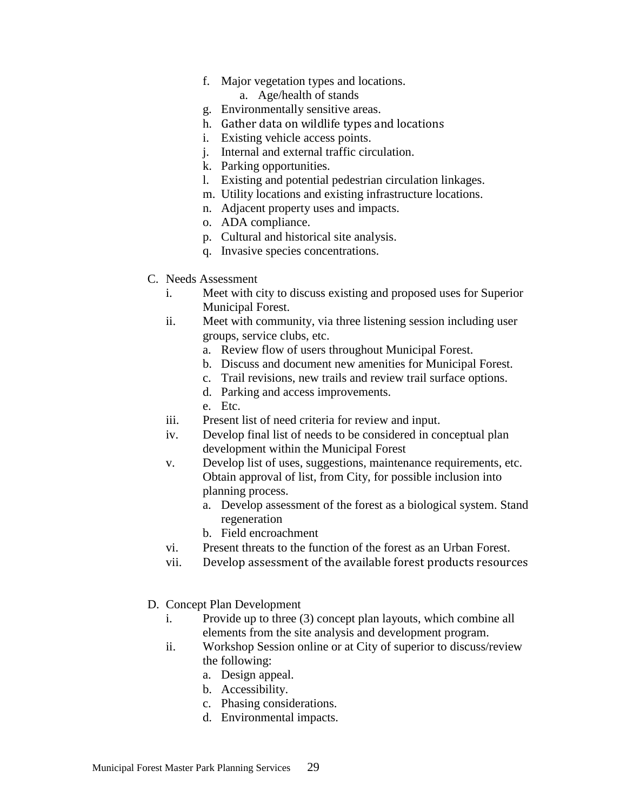f. Major vegetation types and locations.

a. Age/health of stands

- g. Environmentally sensitive areas.
- h. Gather data on wildlife types and locations
- i. Existing vehicle access points.
- j. Internal and external traffic circulation.
- k. Parking opportunities.
- l. Existing and potential pedestrian circulation linkages.
- m. Utility locations and existing infrastructure locations.
- n. Adjacent property uses and impacts.
- o. ADA compliance.
- p. Cultural and historical site analysis.
- q. Invasive species concentrations.
- C. Needs Assessment
	- i. Meet with city to discuss existing and proposed uses for Superior Municipal Forest.
	- ii. Meet with community, via three listening session including user groups, service clubs, etc.
		- a. Review flow of users throughout Municipal Forest.
		- b. Discuss and document new amenities for Municipal Forest.
		- c. Trail revisions, new trails and review trail surface options.
		- d. Parking and access improvements.
		- e. Etc.
	- iii. Present list of need criteria for review and input.
	- iv. Develop final list of needs to be considered in conceptual plan development within the Municipal Forest
	- v. Develop list of uses, suggestions, maintenance requirements, etc. Obtain approval of list, from City, for possible inclusion into planning process.
		- a. Develop assessment of the forest as a biological system. Stand regeneration
		- b. Field encroachment
	- vi. Present threats to the function of the forest as an Urban Forest.
	- vii. Develop assessment of the available forest products resources
- D. Concept Plan Development
	- i. Provide up to three (3) concept plan layouts, which combine all elements from the site analysis and development program.
	- ii. Workshop Session online or at City of superior to discuss/review the following:
		- a. Design appeal.
		- b. Accessibility.
		- c. Phasing considerations.
		- d. Environmental impacts.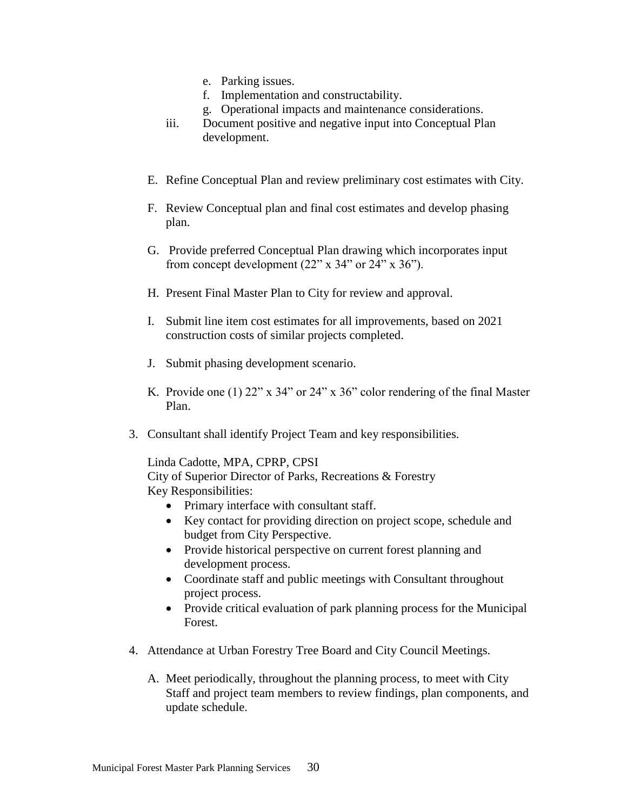- e. Parking issues.
- f. Implementation and constructability.
- g. Operational impacts and maintenance considerations.
- iii. Document positive and negative input into Conceptual Plan development.
- E. Refine Conceptual Plan and review preliminary cost estimates with City.
- F. Review Conceptual plan and final cost estimates and develop phasing plan.
- G. Provide preferred Conceptual Plan drawing which incorporates input from concept development  $(22" \times 34"$  or  $24" \times 36"$ ).
- H. Present Final Master Plan to City for review and approval.
- I. Submit line item cost estimates for all improvements, based on 2021 construction costs of similar projects completed.
- J. Submit phasing development scenario.
- K. Provide one (1)  $22''$  x  $34''$  or  $24''$  x  $36''$  color rendering of the final Master Plan.
- 3. Consultant shall identify Project Team and key responsibilities.

Linda Cadotte, MPA, CPRP, CPSI City of Superior Director of Parks, Recreations & Forestry Key Responsibilities:

- Primary interface with consultant staff.
- Key contact for providing direction on project scope, schedule and budget from City Perspective.
- Provide historical perspective on current forest planning and development process.
- Coordinate staff and public meetings with Consultant throughout project process.
- Provide critical evaluation of park planning process for the Municipal Forest.
- 4. Attendance at Urban Forestry Tree Board and City Council Meetings.
	- A. Meet periodically, throughout the planning process, to meet with City Staff and project team members to review findings, plan components, and update schedule.